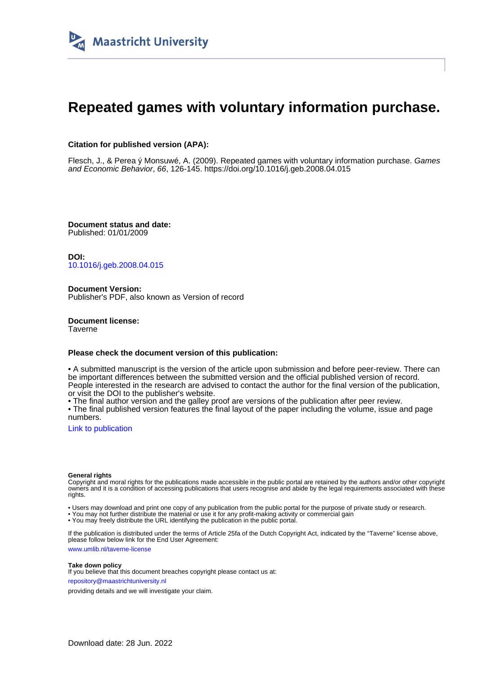

# **Repeated games with voluntary information purchase.**

# **Citation for published version (APA):**

Flesch, J., & Perea ý Monsuwé, A. (2009). Repeated games with voluntary information purchase. Games and Economic Behavior, 66, 126-145.<https://doi.org/10.1016/j.geb.2008.04.015>

**Document status and date:** Published: 01/01/2009

**DOI:** [10.1016/j.geb.2008.04.015](https://doi.org/10.1016/j.geb.2008.04.015)

**Document Version:** Publisher's PDF, also known as Version of record

**Document license: Taverne** 

# **Please check the document version of this publication:**

• A submitted manuscript is the version of the article upon submission and before peer-review. There can be important differences between the submitted version and the official published version of record. People interested in the research are advised to contact the author for the final version of the publication, or visit the DOI to the publisher's website.

• The final author version and the galley proof are versions of the publication after peer review.

• The final published version features the final layout of the paper including the volume, issue and page numbers.

[Link to publication](https://cris.maastrichtuniversity.nl/en/publications/45406ee4-f41a-4c0a-9bd8-a150f55689dd)

#### **General rights**

Copyright and moral rights for the publications made accessible in the public portal are retained by the authors and/or other copyright owners and it is a condition of accessing publications that users recognise and abide by the legal requirements associated with these rights.

• Users may download and print one copy of any publication from the public portal for the purpose of private study or research.

• You may not further distribute the material or use it for any profit-making activity or commercial gain

• You may freely distribute the URL identifying the publication in the public portal.

If the publication is distributed under the terms of Article 25fa of the Dutch Copyright Act, indicated by the "Taverne" license above, please follow below link for the End User Agreement:

www.umlib.nl/taverne-license

#### **Take down policy**

If you believe that this document breaches copyright please contact us at: repository@maastrichtuniversity.nl

providing details and we will investigate your claim.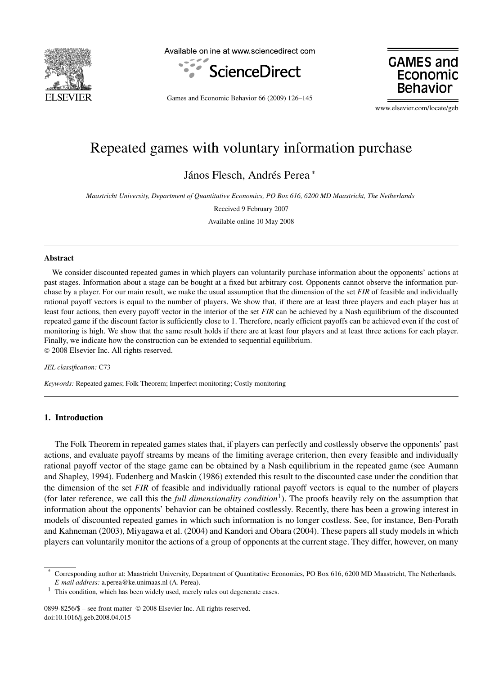

Available online at www.sciencedirect.com



**GAMES and** Economic **Behavio** 

Games and Economic Behavior 66 (2009) 126–145

www.elsevier.com/locate/geb

# Repeated games with voluntary information purchase

János Flesch, Andrés Perea <sup>∗</sup>

*Maastricht University, Department of Quantitative Economics, PO Box 616, 6200 MD Maastricht, The Netherlands*

Received 9 February 2007

Available online 10 May 2008

#### **Abstract**

We consider discounted repeated games in which players can voluntarily purchase information about the opponents' actions at past stages. Information about a stage can be bought at a fixed but arbitrary cost. Opponents cannot observe the information purchase by a player. For our main result, we make the usual assumption that the dimension of the set *FIR* of feasible and individually rational payoff vectors is equal to the number of players. We show that, if there are at least three players and each player has at least four actions, then every payoff vector in the interior of the set *FIR* can be achieved by a Nash equilibrium of the discounted repeated game if the discount factor is sufficiently close to 1. Therefore, nearly efficient payoffs can be achieved even if the cost of monitoring is high. We show that the same result holds if there are at least four players and at least three actions for each player. Finally, we indicate how the construction can be extended to sequential equilibrium. © 2008 Elsevier Inc. All rights reserved.

*JEL classification:* C73

*Keywords:* Repeated games; Folk Theorem; Imperfect monitoring; Costly monitoring

# **1. Introduction**

The Folk Theorem in repeated games states that, if players can perfectly and costlessly observe the opponents' past actions, and evaluate payoff streams by means of the limiting average criterion, then every feasible and individually rational payoff vector of the stage game can be obtained by a Nash equilibrium in the repeated game (see Aumann and Shapley, 1994). Fudenberg and Maskin (1986) extended this result to the discounted case under the condition that the dimension of the set *FIR* of feasible and individually rational payoff vectors is equal to the number of players (for later reference, we call this the *full dimensionality condition*1). The proofs heavily rely on the assumption that information about the opponents' behavior can be obtained costlessly. Recently, there has been a growing interest in models of discounted repeated games in which such information is no longer costless. See, for instance, Ben-Porath and Kahneman (2003), Miyagawa et al. (2004) and Kandori and Obara (2004). These papers all study models in which players can voluntarily monitor the actions of a group of opponents at the current stage. They differ, however, on many

<sup>\*</sup> Corresponding author at: Maastricht University, Department of Quantitative Economics, PO Box 616, 6200 MD Maastricht, The Netherlands. *E-mail address:* a.perea@ke.unimaas.nl (A. Perea).

<sup>&</sup>lt;sup>1</sup> This condition, which has been widely used, merely rules out degenerate cases.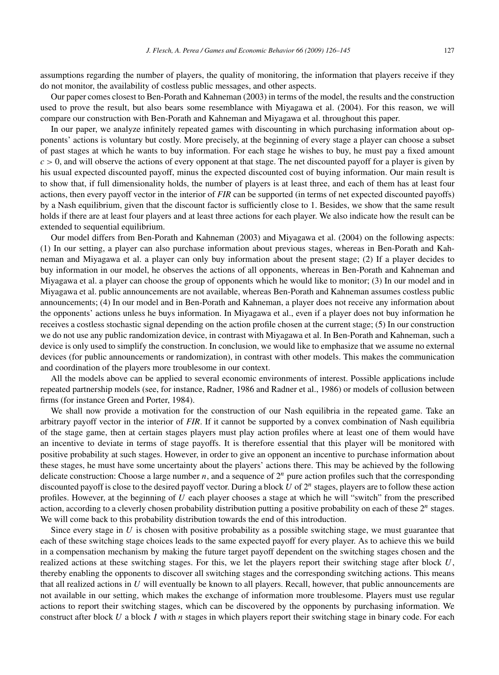assumptions regarding the number of players, the quality of monitoring, the information that players receive if they do not monitor, the availability of costless public messages, and other aspects.

Our paper comes closest to Ben-Porath and Kahneman (2003) in terms of the model, the results and the construction used to prove the result, but also bears some resemblance with Miyagawa et al. (2004). For this reason, we will compare our construction with Ben-Porath and Kahneman and Miyagawa et al. throughout this paper.

In our paper, we analyze infinitely repeated games with discounting in which purchasing information about opponents' actions is voluntary but costly. More precisely, at the beginning of every stage a player can choose a subset of past stages at which he wants to buy information. For each stage he wishes to buy, he must pay a fixed amount  $c > 0$ , and will observe the actions of every opponent at that stage. The net discounted payoff for a player is given by his usual expected discounted payoff, minus the expected discounted cost of buying information. Our main result is to show that, if full dimensionality holds, the number of players is at least three, and each of them has at least four actions, then every payoff vector in the interior of *FIR* can be supported (in terms of net expected discounted payoffs) by a Nash equilibrium, given that the discount factor is sufficiently close to 1. Besides, we show that the same result holds if there are at least four players and at least three actions for each player. We also indicate how the result can be extended to sequential equilibrium.

Our model differs from Ben-Porath and Kahneman (2003) and Miyagawa et al. (2004) on the following aspects: (1) In our setting, a player can also purchase information about previous stages, whereas in Ben-Porath and Kahneman and Miyagawa et al. a player can only buy information about the present stage; (2) If a player decides to buy information in our model, he observes the actions of all opponents, whereas in Ben-Porath and Kahneman and Miyagawa et al. a player can choose the group of opponents which he would like to monitor; (3) In our model and in Miyagawa et al. public announcements are not available, whereas Ben-Porath and Kahneman assumes costless public announcements; (4) In our model and in Ben-Porath and Kahneman, a player does not receive any information about the opponents' actions unless he buys information. In Miyagawa et al., even if a player does not buy information he receives a costless stochastic signal depending on the action profile chosen at the current stage; (5) In our construction we do not use any public randomization device, in contrast with Miyagawa et al. In Ben-Porath and Kahneman, such a device is only used to simplify the construction. In conclusion, we would like to emphasize that we assume no external devices (for public announcements or randomization), in contrast with other models. This makes the communication and coordination of the players more troublesome in our context.

All the models above can be applied to several economic environments of interest. Possible applications include repeated partnership models (see, for instance, Radner, 1986 and Radner et al., 1986) or models of collusion between firms (for instance Green and Porter, 1984).

We shall now provide a motivation for the construction of our Nash equilibria in the repeated game. Take an arbitrary payoff vector in the interior of *FIR*. If it cannot be supported by a convex combination of Nash equilibria of the stage game, then at certain stages players must play action profiles where at least one of them would have an incentive to deviate in terms of stage payoffs. It is therefore essential that this player will be monitored with positive probability at such stages. However, in order to give an opponent an incentive to purchase information about these stages, he must have some uncertainty about the players' actions there. This may be achieved by the following delicate construction: Choose a large number  $n$ , and a sequence of  $2^n$  pure action profiles such that the corresponding discounted payoff is close to the desired payoff vector. During a block *U* of 2*<sup>n</sup>* stages, players are to follow these action profiles. However, at the beginning of *U* each player chooses a stage at which he will "switch" from the prescribed action, according to a cleverly chosen probability distribution putting a positive probability on each of these 2*<sup>n</sup>* stages. We will come back to this probability distribution towards the end of this introduction.

Since every stage in *U* is chosen with positive probability as a possible switching stage, we must guarantee that each of these switching stage choices leads to the same expected payoff for every player. As to achieve this we build in a compensation mechanism by making the future target payoff dependent on the switching stages chosen and the realized actions at these switching stages. For this, we let the players report their switching stage after block *U*, thereby enabling the opponents to discover all switching stages and the corresponding switching actions. This means that all realized actions in *U* will eventually be known to all players. Recall, however, that public announcements are not available in our setting, which makes the exchange of information more troublesome. Players must use regular actions to report their switching stages, which can be discovered by the opponents by purchasing information. We construct after block *U* a block *I* with *n* stages in which players report their switching stage in binary code. For each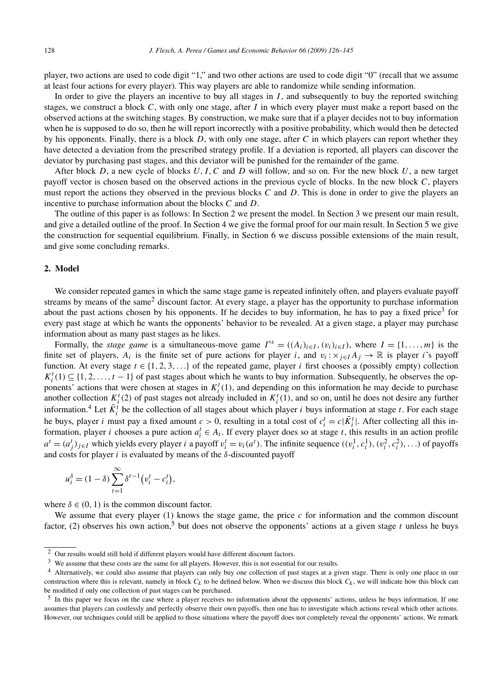player, two actions are used to code digit "1," and two other actions are used to code digit "0" (recall that we assume at least four actions for every player). This way players are able to randomize while sending information.

In order to give the players an incentive to buy all stages in *I*, and subsequently to buy the reported switching stages, we construct a block *C*, with only one stage, after *I* in which every player must make a report based on the observed actions at the switching stages. By construction, we make sure that if a player decides not to buy information when he is supposed to do so, then he will report incorrectly with a positive probability, which would then be detected by his opponents. Finally, there is a block *D*, with only one stage, after *C* in which players can report whether they have detected a deviation from the prescribed strategy profile. If a deviation is reported, all players can discover the deviator by purchasing past stages, and this deviator will be punished for the remainder of the game.

After block *D*, a new cycle of blocks *U,I,C* and *D* will follow, and so on. For the new block *U*, a new target payoff vector is chosen based on the observed actions in the previous cycle of blocks. In the new block *C*, players must report the actions they observed in the previous blocks *C* and *D*. This is done in order to give the players an incentive to purchase information about the blocks *C* and *D*.

The outline of this paper is as follows: In Section 2 we present the model. In Section 3 we present our main result, and give a detailed outline of the proof. In Section 4 we give the formal proof for our main result. In Section 5 we give the construction for sequential equilibrium. Finally, in Section 6 we discuss possible extensions of the main result, and give some concluding remarks.

# **2. Model**

We consider repeated games in which the same stage game is repeated infinitely often, and players evaluate payoff streams by means of the same<sup>2</sup> discount factor. At every stage, a player has the opportunity to purchase information about the past actions chosen by his opponents. If he decides to buy information, he has to pay a fixed price<sup>3</sup> for every past stage at which he wants the opponents' behavior to be revealed. At a given stage, a player may purchase information about as many past stages as he likes.

Formally, the *stage game* is a simultaneous-move game  $\Gamma^s = ((A_i)_{i \in I}, (v_i)_{i \in I})$ , where  $I = \{1, \ldots, m\}$  is the finite set of players,  $A_i$  is the finite set of pure actions for player *i*, and  $v_i$ :  $\times_{j\in I}A_j \to \mathbb{R}$  is player *i*'s payoff function. At every stage  $t \in \{1, 2, 3, \ldots\}$  of the repeated game, player *i* first chooses a (possibly empty) collection  $K_i^t(1) \subseteq \{1, 2, \ldots, t-1\}$  of past stages about which he wants to buy information. Subsequently, he observes the opponents' actions that were chosen at stages in  $K_i^t(1)$ , and depending on this information he may decide to purchase another collection  $K_i^t(2)$  of past stages not already included in  $K_i^t(1)$ , and so on, until he does not desire any further information.<sup>4</sup> Let  $\overline{K}_i^t$  be the collection of all stages about which player *i* buys information at stage *t*. For each stage he buys, player *i* must pay a fixed amount  $c > 0$ , resulting in a total cost of  $c_i^t = c|\bar{K}_i^t|$ . After collecting all this information, player *i* chooses a pure action  $a_i^t \in A_i$ . If every player does so at stage *t*, this results in an action profile  $a^t = (a_j^t)_{j \in I}$  which yields every player *i* a payoff  $v_i^t = v_i(a^t)$ . The infinite sequence  $((v_i^1, c_i^1), (v_i^2, c_i^2), ...)$  of payoffs and costs for player *i* is evaluated by means of the *δ*-discounted payoff

$$
u_i^{\delta} = (1 - \delta) \sum_{t=1}^{\infty} \delta^{t-1} \left( v_i^t - c_i^t \right),
$$

where  $\delta \in (0, 1)$  is the common discount factor.

We assume that every player (1) knows the stage game, the price *c* for information and the common discount factor, (2) observes his own action,<sup>5</sup> but does not observe the opponents' actions at a given stage  $t$  unless he buys

<sup>&</sup>lt;sup>2</sup> Our results would still hold if different players would have different discount factors.<br><sup>3</sup> We assume that these costs are the same for all players. However, this is not essential

We assume that these costs are the same for all players. However, this is not essential for our results.

<sup>4</sup> Alternatively, we could also assume that players can only buy one collection of past stages at a given stage. There is only one place in our construction where this is relevant, namely in block  $C_k$  to be defined below. When we discuss this block  $C_k$ , we will indicate how this block can be modified if only one collection of past stages can be purchased.

 $<sup>5</sup>$  In this paper we focus on the case where a player receives no information about the opponents' actions, unless he buys information. If one</sup> assumes that players can costlessly and perfectly observe their own payoffs, then one has to investigate which actions reveal which other actions. However, our techniques could still be applied to those situations where the payoff does not completely reveal the opponents' actions. We remark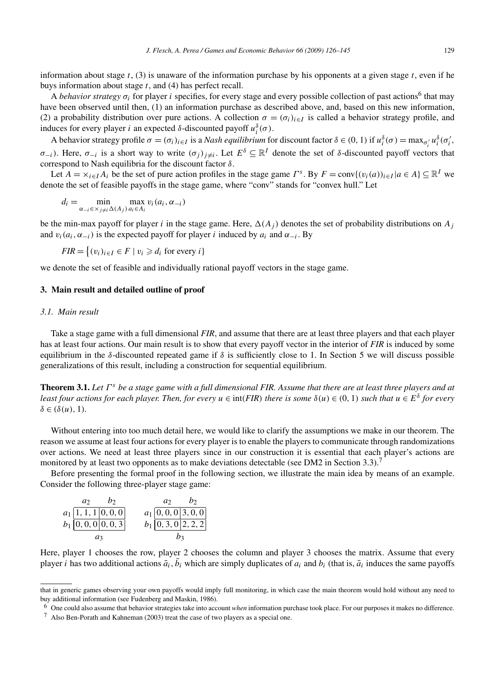information about stage *t*, (3) is unaware of the information purchase by his opponents at a given stage *t*, even if he buys information about stage *t*, and (4) has perfect recall.

A *behavior strategy*  $\sigma_i$  for player *i* specifies, for every stage and every possible collection of past actions<sup>6</sup> that may have been observed until then, (1) an information purchase as described above, and, based on this new information, (2) a probability distribution over pure actions. A collection  $\sigma = (\sigma_i)_{i \in I}$  is called a behavior strategy profile, and induces for every player *i* an expected  $\delta$ -discounted payoff  $u_i^{\delta}(\sigma)$ .

A behavior strategy profile  $\sigma = (\sigma_i)_{i \in I}$  is a *Nash equilibrium* for discount factor  $\delta \in (0, 1)$  if  $u_i^{\delta}(\sigma) = \max_{\sigma'_i} u_i^{\delta}(\sigma'_i, \sigma'_i)$ *σ*<sup>−*i*</sup>). Here, *σ*<sup>−*i*</sup> is a short way to write  $(σ_j)_{j \neq i}$ . Let  $E^δ ⊆ ℝ<sup>I</sup>$  denote the set of *δ*-discounted payoff vectors that correspond to Nash equilibria for the discount factor *δ*.

Let  $A = \times_{i \in I} A_i$  be the set of pure action profiles in the stage game  $\Gamma^s$ . By  $F = \text{conv}\{(v_i(a))_{i \in I} | a \in A\} \subseteq \mathbb{R}^I$  we denote the set of feasible payoffs in the stage game, where "conv" stands for "convex hull." Let

$$
d_i = \min_{\alpha_{-i} \in \times_{j \neq i} \Delta(A_j)} \max_{a_i \in A_i} v_i(a_i, \alpha_{-i})
$$

be the min-max payoff for player *i* in the stage game. Here,  $\Delta(A_i)$  denotes the set of probability distributions on  $A_i$ and  $v_i(a_i, \alpha_{-i})$  is the expected payoff for player *i* induced by  $a_i$  and  $\alpha_{-i}$ . By

$$
FIR = \{(v_i)_{i \in I} \in F \mid v_i \geq d_i \text{ for every } i\}
$$

we denote the set of feasible and individually rational payoff vectors in the stage game.

# **3. Main result and detailed outline of proof**

## *3.1. Main result*

Take a stage game with a full dimensional *FIR*, and assume that there are at least three players and that each player has at least four actions. Our main result is to show that every payoff vector in the interior of *FIR* is induced by some equilibrium in the *δ*-discounted repeated game if *δ* is sufficiently close to 1. In Section 5 we will discuss possible generalizations of this result, including a construction for sequential equilibrium.

**Theorem 3.1.** *Let Γ <sup>s</sup> be a stage game with a full dimensional FIR. Assume that there are at least three players and at least four actions for each player. Then, for every*  $u \in \text{int}(FIR)$  *there is some*  $\delta(u) \in (0, 1)$  *such that*  $u \in E^{\delta}$  *for every*  $\delta \in (\delta(u), 1)$ *.* 

Without entering into too much detail here, we would like to clarify the assumptions we make in our theorem. The reason we assume at least four actions for every player is to enable the players to communicate through randomizations over actions. We need at least three players since in our construction it is essential that each player's actions are monitored by at least two opponents as to make deviations detectable (see DM2 in Section 3.3).<sup>7</sup>

Before presenting the formal proof in the following section, we illustrate the main idea by means of an example. Consider the following three-player stage game:

$$
\begin{array}{c|cc}\n a_2 & b_2 & a_2 & b_2 \\
 a_1 & 1, 1, 1 & 0, 0, 0 \\
 b_1 & 0, 0, 0 & 0, 0, 3\n \end{array}\n \quad\n \begin{array}{c|cc}\n a_2 & b_2 & a_3 \\
 a_1 & 0, 0, 0 & 3, 0, 0 \\
 a_1 & 0, 3, 0 & 2, 2, 2 \\
 a_2 & b_2 & b_3\n \end{array}
$$

Here, player 1 chooses the row, player 2 chooses the column and player 3 chooses the matrix. Assume that every player *i* has two additional actions  $\bar{a}_i$ ,  $\bar{b}_i$  which are simply duplicates of  $a_i$  and  $b_i$  (that is,  $\bar{a}_i$  induces the same payoffs

that in generic games observing your own payoffs would imply full monitoring, in which case the main theorem would hold without any need to buy additional information (see Fudenberg and Maskin, 1986).

<sup>6</sup> One could also assume that behavior strategies take into account *when* information purchase took place. For our purposes it makes no difference.

<sup>7</sup> Also Ben-Porath and Kahneman (2003) treat the case of two players as a special one.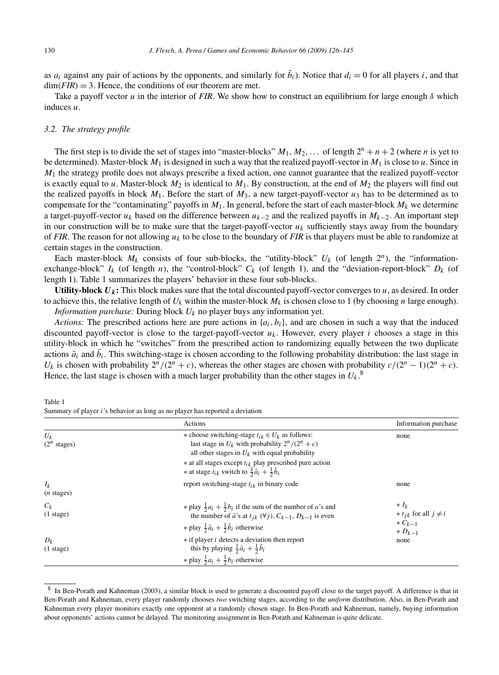as  $a_i$  against any pair of actions by the opponents, and similarly for  $\bar{b}_i$ ). Notice that  $d_i = 0$  for all players *i*, and that  $\dim(FIR) = 3$ . Hence, the conditions of our theorem are met.

Take a payoff vector  $u$  in the interior of *FIR*. We show how to construct an equilibrium for large enough  $\delta$  which induces *u*.

#### *3.2. The strategy profile*

The first step is to divide the set of stages into "master-blocks"  $M_1, M_2, \ldots$  of length  $2^n + n + 2$  (where *n* is yet to be determined). Master-block *M*<sup>1</sup> is designed in such a way that the realized payoff-vector in *M*<sup>1</sup> is close to *u*. Since in *M*<sup>1</sup> the strategy profile does not always prescribe a fixed action, one cannot guarantee that the realized payoff-vector is exactly equal to *u*. Master-block  $M_2$  is identical to  $M_1$ . By construction, at the end of  $M_2$  the players will find out the realized payoffs in block  $M_1$ . Before the start of  $M_3$ , a new target-payoff-vector  $u_3$  has to be determined as to compensate for the "contaminating" payoffs in  $M_1$ . In general, before the start of each master-block  $M_k$  we determine a target-payoff-vector *uk* based on the difference between *uk*<sup>−</sup><sup>2</sup> and the realized payoffs in *Mk*−2. An important step in our construction will be to make sure that the target-payoff-vector  $u_k$  sufficiently stays away from the boundary of *FIR*. The reason for not allowing  $u_k$  to be close to the boundary of *FIR* is that players must be able to randomize at certain stages in the construction.

Each master-block  $M_k$  consists of four sub-blocks, the "utility-block"  $U_k$  (of length  $2^n$ ), the "informationexchange-block"  $I_k$  (of length *n*), the "control-block"  $C_k$  (of length 1), and the "deviation-report-block"  $D_k$  (of length 1). Table 1 summarizes the players' behavior in these four sub-blocks.

**Utility-block**  $U_k$ : This block makes sure that the total discounted payoff-vector converges to  $u$ , as desired. In order to achieve this, the relative length of  $U_k$  within the master-block  $M_k$  is chosen close to 1 (by choosing *n* large enough).

*Information purchase:* During block *Uk* no player buys any information yet.

*Actions:* The prescribed actions here are pure actions in  $\{a_i, b_i\}$ , and are chosen in such a way that the induced discounted payoff-vector is close to the target-payoff-vector  $u_k$ . However, every player *i* chooses a stage in this utility-block in which he "switches" from the prescribed action to randomizing equally between the two duplicate actions  $\bar{a}_i$  and  $\bar{b}_i$ . This switching-stage is chosen according to the following probability distribution: the last stage in *U<sub>k</sub>* is chosen with probability  $2^n/(2^n + c)$ , whereas the other stages are chosen with probability  $c/(2^n - 1)(2^n + c)$ . Hence, the last stage is chosen with a much larger probability than the other stages in  $U_k$ .<sup>8</sup>

Table 1 Summary of player *i*'s behavior as long as no player has reported a deviation

|                                 | Actions                                                                                                                                                                                                                                 | Information purchase                                                           |
|---------------------------------|-----------------------------------------------------------------------------------------------------------------------------------------------------------------------------------------------------------------------------------------|--------------------------------------------------------------------------------|
| $U_k$<br>$(2^n \text{ stages})$ | * choose switching-stage $t_{ik} \in U_k$ as follows:<br>last stage in $U_k$ with probability $2^n/(2^n + c)$<br>all other stages in $U_k$ with equal probability                                                                       | none                                                                           |
|                                 | $*$ at all stages except $t_{ik}$ play prescribed pure action<br>* at stage $t_{ik}$ switch to $\frac{1}{2}\bar{a}_i + \frac{1}{2}\bar{b}_i$                                                                                            |                                                                                |
| $I_k$<br>$(n$ stages)           | report switching-stage $t_{ik}$ in binary code                                                                                                                                                                                          | none                                                                           |
| $C_k$<br>$(1 \text{ stage})$    | * play $\frac{1}{2}a_i + \frac{1}{2}b_i$ if the sum of the number of a's and<br>the number of $\bar{a}$ 's at $t_{jk}$ ( $\forall j$ ), $C_{k-1}$ , $D_{k-1}$ is even<br>* play $\frac{1}{2}\bar{a}_i + \frac{1}{2}\bar{b}_i$ otherwise | $* I_k$<br>* $t_{ik}$ for all $j \neq i$<br>* $C_{k-1}$<br>$* D_{k-1}$<br>none |
| $D_k$<br>$(1 \text{ stage})$    | $*$ if player <i>i</i> detects a deviation then report<br>this by playing $\frac{1}{2}\bar{a}_i + \frac{1}{2}\bar{b}_i$<br>* play $\frac{1}{2}a_i + \frac{1}{2}b_i$ otherwise                                                           |                                                                                |

<sup>&</sup>lt;sup>8</sup> In Ben-Porath and Kahneman (2003), a similar block is used to generate a discounted payoff close to the target payoff. A difference is that in Ben-Porath and Kahneman, every player randomly chooses *two* switching stages, according to the *uniform* distribution. Also, in Ben-Porath and Kahneman every player monitors exactly one opponent at a randomly chosen stage. In Ben-Porath and Kahneman, namely, buying information about opponents' actions cannot be delayed. The monitoring assignment in Ben-Porath and Kahneman is quite delicate.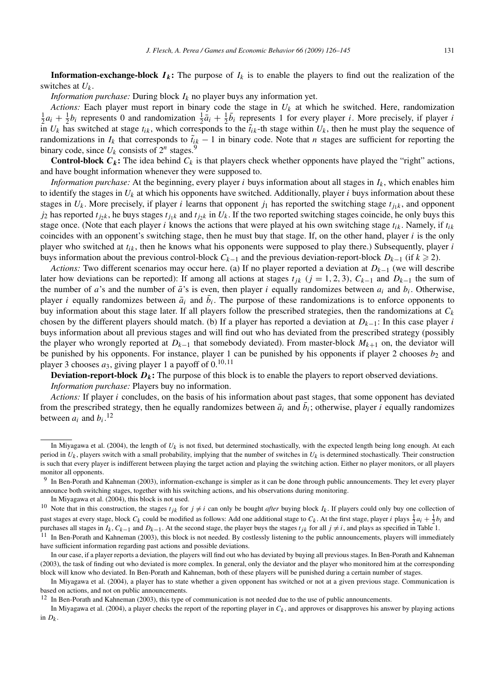**Information-exchange-block**  $I_k$ : The purpose of  $I_k$  is to enable the players to find out the realization of the switches at *Uk* .

*Information purchase:* During block *Ik* no player buys any information yet.

*Actions:* Each player must report in binary code the stage in  $U_k$  at which he switched. Here, randomization  $\frac{1}{2}a_i + \frac{1}{2}b_i$  represents 0 and randomization  $\frac{1}{2}\overline{a}_i + \frac{1}{2}\overline{b}_i$  represents 1 for every player *i*. More precisely, if player *i* in  $U_k$  has switched at stage  $t_{ik}$ , which corresponds to the  $\tilde{t}_{ik}$ -th stage within  $U_k$ , then he must play the sequence of randomizations in  $I_k$  that corresponds to  $\tilde{t}_{ik} - 1$  in binary code. Note that *n* stages are sufficient for reporting the binary code, since  $U_k$  consists of  $2^n$  stages.<sup>9</sup>

**Control-block**  $C_k$ : The idea behind  $C_k$  is that players check whether opponents have played the "right" actions, and have bought information whenever they were supposed to.

*Information purchase:* At the beginning, every player *i* buys information about all stages in *Ik* , which enables him to identify the stages in  $U_k$  at which his opponents have switched. Additionally, player  $i$  buys information about these stages in  $U_k$ . More precisely, if player *i* learns that opponent  $j_1$  has reported the switching stage  $t_{j_1k}$ , and opponent  $j_2$  has reported  $t_{jk}$ , he buys stages  $t_{jk}$  and  $t_{jk}$  in  $U_k$ . If the two reported switching stages coincide, he only buys this stage once. (Note that each player *i* knows the actions that were played at his own switching stage  $t_{ik}$ . Namely, if  $t_{ik}$ coincides with an opponent's switching stage, then he must buy that stage. If, on the other hand, player *i* is the only player who switched at *tik* , then he knows what his opponents were supposed to play there.) Subsequently, player *i* buys information about the previous control-block  $C_{k-1}$  and the previous deviation-report-block  $D_{k-1}$  (if  $k \geq 2$ ).

*Actions:* Two different scenarios may occur here. (a) If no player reported a deviation at *Dk*<sup>−</sup><sup>1</sup> (we will describe later how deviations can be reported): If among all actions at stages  $t_{ik}$  ( $j = 1, 2, 3$ ),  $C_{k-1}$  and  $D_{k-1}$  the sum of the number of *a*'s and the number of  $\vec{a}$ 's is even, then player *i* equally randomizes between  $a_i$  and  $b_i$ . Otherwise, player *i* equally randomizes between  $\bar{a}_i$  and  $\bar{b}_i$ . The purpose of these randomizations is to enforce opponents to buy information about this stage later. If all players follow the prescribed strategies, then the randomizations at *Ck* chosen by the different players should match. (b) If a player has reported a deviation at *Dk*−1: In this case player *i* buys information about all previous stages and will find out who has deviated from the prescribed strategy (possibly the player who wrongly reported at *Dk*<sup>−</sup><sup>1</sup> that somebody deviated). From master-block *Mk*<sup>+</sup><sup>1</sup> on, the deviator will be punished by his opponents. For instance, player 1 can be punished by his opponents if player 2 chooses  $b_2$  and player 3 chooses  $a_3$ , giving player 1 a payoff of  $0.1^{10,11}$ 

**Deviation-report-block**  $D_k$ **: The purpose of this block is to enable the players to report observed deviations.** *Information purchase:* Players buy no information.

*Actions:* If player *i* concludes, on the basis of his information about past stages, that some opponent has deviated from the prescribed strategy, then he equally randomizes between  $\bar{a}_i$  and  $\bar{b}_i$ ; otherwise, player *i* equally randomizes between  $a_i$  and  $b_i$ .<sup>12</sup>

In Miyagawa et al. (2004), this block is not used.

In Miyagawa et al. (2004), a player has to state whether a given opponent has switched or not at a given previous stage. Communication is based on actions, and not on public announcements.

 $12$  In Ben-Porath and Kahneman (2003), this type of communication is not needed due to the use of public announcements.

In Miyagawa et al. (2004), the length of *Uk* is not fixed, but determined stochastically, with the expected length being long enough. At each period in  $U_k$ , players switch with a small probability, implying that the number of switches in  $U_k$  is determined stochastically. Their construction is such that every player is indifferent between playing the target action and playing the switching action. Either no player monitors, or all players monitor all opponents.

<sup>&</sup>lt;sup>9</sup> In Ben-Porath and Kahneman (2003), information-exchange is simpler as it can be done through public announcements. They let every player announce both switching stages, together with his switching actions, and his observations during monitoring.

<sup>&</sup>lt;sup>10</sup> Note that in this construction, the stages  $t_{jk}$  for  $j \neq i$  can only be bought *after* buying block  $I_k$ . If players could only buy one collection of past stages at every stage, block  $C_k$  could be modified as follows: Add one additional stage to  $C_k$ . At the first stage, player *i* plays  $\frac{1}{2}a_i + \frac{1}{2}b_i$  and purchases all stages in  $I_k$ ,  $C_{k-1}$  and  $D_{k-1}$ . At the second stage, the player buys the stages  $t_{ik}$  for all  $j \neq i$ , and plays as specified in Table 1.

<sup>&</sup>lt;sup>11</sup> In Ben-Porath and Kahneman (2003), this block is not needed. By costlessly listening to the public announcements, players will immediately have sufficient information regarding past actions and possible deviations.

In our case, if a player reports a deviation, the players will find out who has deviated by buying all previous stages. In Ben-Porath and Kahneman (2003), the task of finding out who deviated is more complex. In general, only the deviator and the player who monitored him at the corresponding block will know who deviated. In Ben-Porath and Kahneman, both of these players will be punished during a certain number of stages.

In Miyagawa et al. (2004), a player checks the report of the reporting player in  $C_k$ , and approves or disapproves his answer by playing actions in  $D_k$ .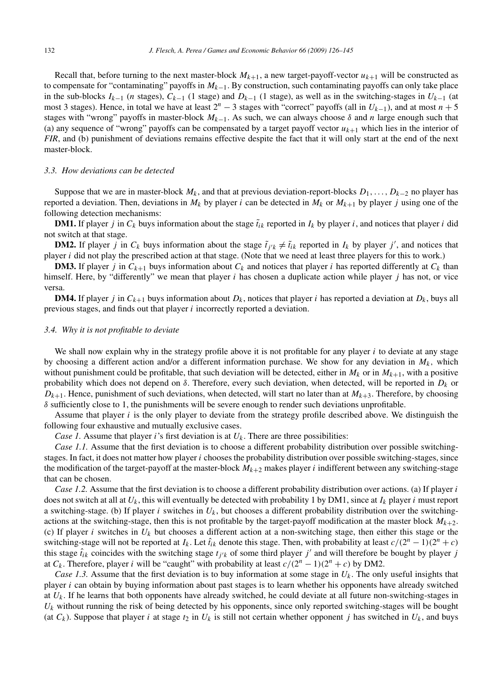Recall that, before turning to the next master-block  $M_{k+1}$ , a new target-payoff-vector  $u_{k+1}$  will be constructed as to compensate for "contaminating" payoffs in *Mk*−1. By construction, such contaminating payoffs can only take place in the sub-blocks  $I_{k-1}$  (*n* stages),  $C_{k-1}$  (1 stage) and  $D_{k-1}$  (1 stage), as well as in the switching-stages in  $U_{k-1}$  (at most 3 stages). Hence, in total we have at least  $2^n - 3$  stages with "correct" payoffs (all in  $U_{k-1}$ ), and at most  $n + 5$ stages with "wrong" payoffs in master-block  $M_{k-1}$ . As such, we can always choose  $\delta$  and *n* large enough such that (a) any sequence of "wrong" payoffs can be compensated by a target payoff vector  $u_{k+1}$  which lies in the interior of *FIR*, and (b) punishment of deviations remains effective despite the fact that it will only start at the end of the next master-block.

#### *3.3. How deviations can be detected*

Suppose that we are in master-block  $M_k$ , and that at previous deviation-report-blocks  $D_1, \ldots, D_{k-2}$  no player has reported a deviation. Then, deviations in  $M_k$  by player *i* can be detected in  $M_k$  or  $M_{k+1}$  by player *j* using one of the following detection mechanisms:

**DM1.** If player *j* in  $C_k$  buys information about the stage  $\tilde{t}_{ik}$  reported in  $I_k$  by player *i*, and notices that player *i* did not switch at that stage.

**DM2.** If player *j* in  $C_k$  buys information about the stage  $\tilde{t}_{j'k} \neq \tilde{t}_{ik}$  reported in  $I_k$  by player *j'*, and notices that player *i* did not play the prescribed action at that stage. (Note that we need at least three players for this to work.)

**DM3.** If player *j* in  $C_{k+1}$  buys information about  $C_k$  and notices that player *i* has reported differently at  $C_k$  than himself. Here, by "differently" we mean that player *i* has chosen a duplicate action while player *j* has not, or vice versa.

**DM4.** If player *j* in  $C_{k+1}$  buys information about  $D_k$ , notices that player *i* has reported a deviation at  $D_k$ , buys all previous stages, and finds out that player *i* incorrectly reported a deviation.

#### *3.4. Why it is not profitable to deviate*

We shall now explain why in the strategy profile above it is not profitable for any player *i* to deviate at any stage by choosing a different action and/or a different information purchase. We show for any deviation in  $M_k$ , which without punishment could be profitable, that such deviation will be detected, either in  $M_k$  or in  $M_{k+1}$ , with a positive probability which does not depend on *δ*. Therefore, every such deviation, when detected, will be reported in *Dk* or  $D_{k+1}$ . Hence, punishment of such deviations, when detected, will start no later than at  $M_{k+3}$ . Therefore, by choosing *δ* sufficiently close to 1, the punishments will be severe enough to render such deviations unprofitable.

Assume that player *i* is the only player to deviate from the strategy profile described above. We distinguish the following four exhaustive and mutually exclusive cases.

*Case 1.* Assume that player *i*'s first deviation is at  $U_k$ . There are three possibilities:

*Case 1.1.* Assume that the first deviation is to choose a different probability distribution over possible switchingstages. In fact, it does not matter how player *i* chooses the probability distribution over possible switching-stages, since the modification of the target-payoff at the master-block  $M_{k+2}$  makes player *i* indifferent between any switching-stage that can be chosen.

*Case 1.2.* Assume that the first deviation is to choose a different probability distribution over actions. (a) If player *i* does not switch at all at *Uk* , this will eventually be detected with probability 1 by DM1, since at *Ik* player *i* must report a switching-stage. (b) If player  $i$  switches in  $U_k$ , but chooses a different probability distribution over the switchingactions at the switching-stage, then this is not profitable by the target-payoff modification at the master block  $M_{k+2}$ . (c) If player *i* switches in  $U_k$  but chooses a different action at a non-switching stage, then either this stage or the switching-stage will not be reported at  $I_k$ . Let  $\hat{t}_{ik}$  denote this stage. Then, with probability at least  $c/(2^n - 1)(2^n + c)$ this stage  $\hat{t}_{ik}$  coincides with the switching stage  $t_{j'k}$  of some third player *j'* and will therefore be bought by player *j* at  $C_k$ . Therefore, player *i* will be "caught" with probability at least  $c/(2^n - 1)(2^n + c)$  by DM2.

*Case 1.3.* Assume that the first deviation is to buy information at some stage in  $U_k$ . The only useful insights that player *i* can obtain by buying information about past stages is to learn whether his opponents have already switched at *Uk* . If he learns that both opponents have already switched, he could deviate at all future non-switching-stages in *Uk* without running the risk of being detected by his opponents, since only reported switching-stages will be bought (at  $C_k$ ). Suppose that player *i* at stage  $t_2$  in  $U_k$  is still not certain whether opponent *j* has switched in  $U_k$ , and buys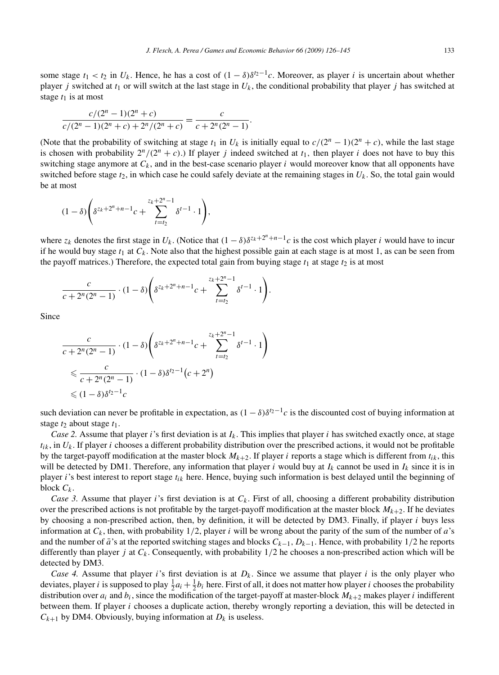some stage  $t_1 < t_2$  in  $U_k$ . Hence, he has a cost of  $(1 - \delta)\delta^{t_2 - 1}c$ . Moreover, as player *i* is uncertain about whether player *j* switched at  $t_1$  or will switch at the last stage in  $U_k$ , the conditional probability that player *j* has switched at stage  $t_1$  is at most

$$
\frac{c/(2^n-1)(2^n+c)}{c/(2^n-1)(2^n+c)+2^n/(2^n+c)}=\frac{c}{c+2^n(2^n-1)}.
$$

(Note that the probability of switching at stage  $t_1$  in  $U_k$  is initially equal to  $c/(2^n - 1)(2^n + c)$ , while the last stage is chosen with probability  $2^n/(2^n + c)$ .) If player *j* indeed switched at  $t_1$ , then player *i* does not have to buy this switching stage anymore at  $C_k$ , and in the best-case scenario player *i* would moreover know that all opponents have switched before stage  $t_2$ , in which case he could safely deviate at the remaining stages in  $U_k$ . So, the total gain would be at most

$$
(1 - \delta) \left( \delta^{z_k + 2^n + n - 1} c + \sum_{t = t_2}^{z_k + 2^n - 1} \delta^{t - 1} \cdot 1 \right),
$$

where  $z_k$  denotes the first stage in  $U_k$ . (Notice that  $(1 - \delta)\delta^{z_k+2^n+n-1}c$  is the cost which player *i* would have to incur if he would buy stage  $t_1$  at  $C_k$ . Note also that the highest possible gain at each stage is at most 1, as can be seen from the payoff matrices.) Therefore, the expected total gain from buying stage  $t_1$  at stage  $t_2$  is at most

$$
\frac{c}{c+2^{n}(2^{n}-1)}\cdot(1-\delta)\left(\delta^{z_{k}+2^{n}+n-1}c+\sum_{t=t_{2}}^{z_{k}+2^{n}-1}\delta^{t-1}\cdot 1\right).
$$

Since

$$
\frac{c}{c+2^n(2^n-1)} \cdot (1-\delta) \left( \delta^{z_k+2^n+n-1} c + \sum_{t=t_2}^{z_k+2^n-1} \delta^{t-1} \cdot 1 \right)
$$
  
\$\leq \frac{c}{c+2^n(2^n-1)} \cdot (1-\delta) \delta^{t\_2-1} (c+2^n)\$  
\$\leq (1-\delta) \delta^{t\_2-1} c\$

such deviation can never be profitable in expectation, as  $(1 - \delta)\delta^{t-1}c$  is the discounted cost of buying information at stage  $t_2$  about stage  $t_1$ .

*Case 2.* Assume that player *i*'s first deviation is at  $I_k$ . This implies that player *i* has switched exactly once, at stage  $t_{ik}$ , in  $U_k$ . If player *i* chooses a different probability distribution over the prescribed actions, it would not be profitable by the target-payoff modification at the master block  $M_{k+2}$ . If player *i* reports a stage which is different from  $t_{ik}$ , this will be detected by DM1. Therefore, any information that player  $i$  would buy at  $I_k$  cannot be used in  $I_k$  since it is in player *i*'s best interest to report stage *tik* here. Hence, buying such information is best delayed until the beginning of block  $C_k$ .

*Case 3.* Assume that player *i*'s first deviation is at  $C_k$ . First of all, choosing a different probability distribution over the prescribed actions is not profitable by the target-payoff modification at the master block  $M_{k+2}$ . If he deviates by choosing a non-prescribed action, then, by definition, it will be detected by DM3. Finally, if player *i* buys less information at *Ck* , then, with probability 1*/*2, player *i* will be wrong about the parity of the sum of the number of *a*'s and the number of  $\vec{a}$ 's at the reported switching stages and blocks  $C_{k-1}$ ,  $D_{k-1}$ . Hence, with probability 1/2 he reports differently than player *j* at  $C_k$ . Consequently, with probability  $1/2$  he chooses a non-prescribed action which will be detected by DM3.

*Case 4.* Assume that player *i*'s first deviation is at  $D_k$ . Since we assume that player *i* is the only player who deviates, player *i* is supposed to play  $\frac{1}{2}a_i + \frac{1}{2}b_i$  here. First of all, it does not matter how player *i* chooses the probability distribution over  $a_i$  and  $b_i$ , since the modification of the target-payoff at master-block  $M_{k+2}$  makes player *i* indifferent between them. If player *i* chooses a duplicate action, thereby wrongly reporting a deviation, this will be detected in  $C_{k+1}$  by DM4. Obviously, buying information at  $D_k$  is useless.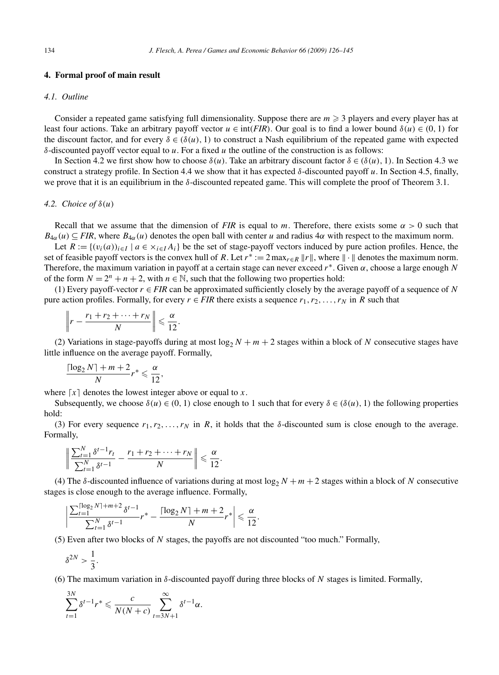# **4. Formal proof of main result**

# *4.1. Outline*

Consider a repeated game satisfying full dimensionality. Suppose there are  $m \geq 3$  players and every player has at least four actions. Take an arbitrary payoff vector  $u \in \text{int}(F/R)$ . Our goal is to find a lower bound  $\delta(u) \in (0, 1)$  for the discount factor, and for every  $\delta \in (\delta(u), 1)$  to construct a Nash equilibrium of the repeated game with expected *δ*-discounted payoff vector equal to *u*. For a fixed *u* the outline of the construction is as follows:

In Section 4.2 we first show how to choose  $\delta(u)$ . Take an arbitrary discount factor  $\delta \in (\delta(u), 1)$ . In Section 4.3 we construct a strategy profile. In Section 4.4 we show that it has expected *δ*-discounted payoff *u*. In Section 4.5, finally, we prove that it is an equilibrium in the *δ*-discounted repeated game. This will complete the proof of Theorem 3.1.

# *4.2. Choice of δ(u)*

Recall that we assume that the dimension of *FIR* is equal to *m*. Therefore, there exists some *α >* 0 such that  $B_{4\alpha}(u) \subseteq FIR$ , where  $B_{4\alpha}(u)$  denotes the open ball with center *u* and radius  $4\alpha$  with respect to the maximum norm.

Let  $R := \{(v_i(a))_{i \in I} \mid a \in \times_{i \in I} A_i\}$  be the set of stage-payoff vectors induced by pure action profiles. Hence, the set of feasible payoff vectors is the convex hull of *R*. Let  $r^* := 2 \max_{r \in R} ||r||$ , where  $|| \cdot ||$  denotes the maximum norm. Therefore, the maximum variation in payoff at a certain stage can never exceed *r*∗. Given *α*, choose a large enough *N* of the form  $N = 2^n + n + 2$ , with  $n \in \mathbb{N}$ , such that the following two properties hold:

(1) Every payoff-vector  $r \in FIR$  can be approximated sufficiently closely by the average payoff of a sequence of *N* pure action profiles. Formally, for every  $r \in FIR$  there exists a sequence  $r_1, r_2, \ldots, r_N$  in *R* such that

$$
\left\|r-\frac{r_1+r_2+\cdots+r_N}{N}\right\|\leqslant\frac{\alpha}{12}.
$$

(2) Variations in stage-payoffs during at most  $\log_2 N + m + 2$  stages within a block of *N* consecutive stages have little influence on the average payoff. Formally,

$$
\frac{\lceil \log_2 N \rceil + m + 2}{N} r^* \leq \frac{\alpha}{12},
$$

where  $\lceil x \rceil$  denotes the lowest integer above or equal to *x*.

Subsequently, we choose  $\delta(u) \in (0, 1)$  close enough to 1 such that for every  $\delta \in (\delta(u), 1)$  the following properties hold:

(3) For every sequence  $r_1, r_2, \ldots, r_N$  in *R*, it holds that the *δ*-discounted sum is close enough to the average. Formally,

$$
\left\| \frac{\sum_{t=1}^{N} \delta^{t-1} r_t}{\sum_{t=1}^{N} \delta^{t-1}} - \frac{r_1 + r_2 + \dots + r_N}{N} \right\| \leq \frac{\alpha}{12}.
$$

(4) The *δ*-discounted influence of variations during at most  $\log_2 N + m + 2$  stages within a block of *N* consecutive stages is close enough to the average influence. Formally,

$$
\left|\frac{\sum_{t=1}^{\lceil \log_2 N \rceil + m + 2} \delta^{t-1}}{\sum_{t=1}^N \delta^{t-1}} r^* - \frac{\lceil \log_2 N \rceil + m + 2}{N} r^* \right| \leq \frac{\alpha}{12}.
$$

(5) Even after two blocks of *N* stages, the payoffs are not discounted "too much." Formally,

$$
\delta^{2N} > \frac{1}{3}.
$$

(6) The maximum variation in *δ*-discounted payoff during three blocks of *N* stages is limited. Formally,

$$
\sum_{t=1}^{3N} \delta^{t-1} r^* \leq \frac{c}{N(N+c)} \sum_{t=3N+1}^{\infty} \delta^{t-1} \alpha.
$$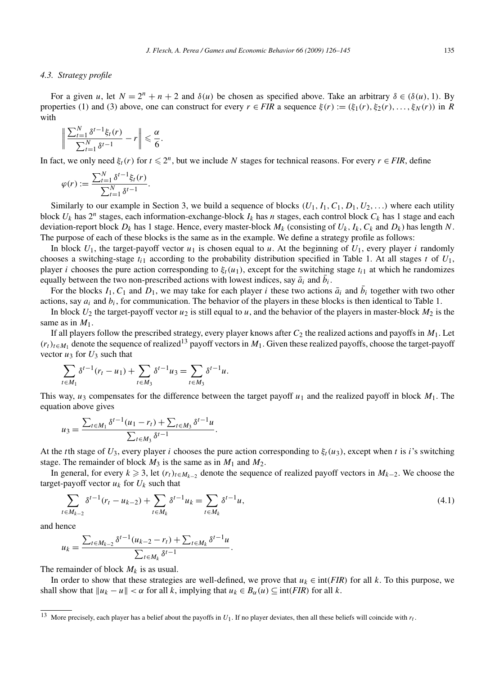#### *4.3. Strategy profile*

For a given *u*, let  $N = 2^n + n + 2$  and  $\delta(u)$  be chosen as specified above. Take an arbitrary  $\delta \in (\delta(u), 1)$ . By properties (1) and (3) above, one can construct for every  $r \in FIR$  a sequence  $\xi(r) := (\xi_1(r), \xi_2(r), \ldots, \xi_N(r))$  in *R* with

$$
\left\|\frac{\sum_{t=1}^N \delta^{t-1}\xi_t(r)}{\sum_{t=1}^N \delta^{t-1}} - r\right\| \leq \frac{\alpha}{6}.
$$

In fact, we only need  $\xi_t(r)$  for  $t \leq 2^n$ , but we include N stages for technical reasons. For every  $r \in FIR$ , define

$$
\varphi(r) := \frac{\sum_{t=1}^{N} \delta^{t-1} \xi_t(r)}{\sum_{t=1}^{N} \delta^{t-1}}.
$$

Similarly to our example in Section 3, we build a sequence of blocks  $(U_1, I_1, C_1, D_1, U_2, \ldots)$  where each utility block  $U_k$  has  $2^n$  stages, each information-exchange-block  $I_k$  has *n* stages, each control block  $C_k$  has 1 stage and each deviation-report block  $D_k$  has 1 stage. Hence, every master-block  $M_k$  (consisting of  $U_k$ ,  $I_k$ ,  $C_k$  and  $D_k$ ) has length N. The purpose of each of these blocks is the same as in the example. We define a strategy profile as follows:

In block  $U_1$ , the target-payoff vector  $u_1$  is chosen equal to  $u$ . At the beginning of  $U_1$ , every player *i* randomly chooses a switching-stage *ti*<sup>1</sup> according to the probability distribution specified in Table 1. At all stages *t* of *U*1, player *i* chooses the pure action corresponding to  $\xi_t(u_1)$ , except for the switching stage  $t_{i1}$  at which he randomizes equally between the two non-prescribed actions with lowest indices, say  $\bar{a}_i$  and  $\bar{b}_i$ .

For the blocks  $I_1, C_1$  and  $D_1$ , we may take for each player *i* these two actions  $\bar{a}_i$  and  $\bar{b}_i$  together with two other actions, say *ai* and *bi*, for communication. The behavior of the players in these blocks is then identical to Table 1.

In block  $U_2$  the target-payoff vector  $u_2$  is still equal to  $u$ , and the behavior of the players in master-block  $M_2$  is the same as in  $M_1$ .

If all players follow the prescribed strategy, every player knows after  $C_2$  the realized actions and payoffs in  $M_1$ . Let  $(r_t)_{t \in M_1}$  denote the sequence of realized<sup>13</sup> payoff vectors in *M*<sub>1</sub>. Given these realized payoffs, choose the target-payoff vector  $u_3$  for  $U_3$  such that

$$
\sum_{t \in M_1} \delta^{t-1}(r_t - u_1) + \sum_{t \in M_3} \delta^{t-1} u_3 = \sum_{t \in M_3} \delta^{t-1} u.
$$

This way,  $u_3$  compensates for the difference between the target payoff  $u_1$  and the realized payoff in block  $M_1$ . The equation above gives

$$
u_3 = \frac{\sum_{t \in M_1} \delta^{t-1} (u_1 - r_t) + \sum_{t \in M_3} \delta^{t-1} u}{\sum_{t \in M_3} \delta^{t-1}}.
$$

At the *t*th stage of  $U_3$ , every player *i* chooses the pure action corresponding to  $\xi_t(u_3)$ , except when *t* is *i*'s switching stage. The remainder of block  $M_3$  is the same as in  $M_1$  and  $M_2$ .

In general, for every  $k \ge 3$ , let  $(r_t)_{t \in M_{k-2}}$  denote the sequence of realized payoff vectors in  $M_{k-2}$ . We choose the target-payoff vector  $u_k$  for  $U_k$  such that

$$
\sum_{t \in M_{k-2}} \delta^{t-1}(r_t - u_{k-2}) + \sum_{t \in M_k} \delta^{t-1} u_t = \sum_{t \in M_k} \delta^{t-1} u,
$$
\n(4.1)

and hence

$$
u_k = \frac{\sum_{t \in M_{k-2}} \delta^{t-1} (u_{k-2} - r_t) + \sum_{t \in M_k} \delta^{t-1} u}{\sum_{t \in M_k} \delta^{t-1}}.
$$

The remainder of block  $M_k$  is as usual.

In order to show that these strategies are well-defined, we prove that  $u_k \in \text{int}(FIR)$  for all *k*. To this purpose, we shall show that  $||u_k - u|| < \alpha$  for all *k*, implying that  $u_k \in B_\alpha(u) \subseteq \text{int}(FIR)$  for all *k*.

<sup>&</sup>lt;sup>13</sup> More precisely, each player has a belief about the payoffs in  $U_1$ . If no player deviates, then all these beliefs will coincide with  $r_t$ .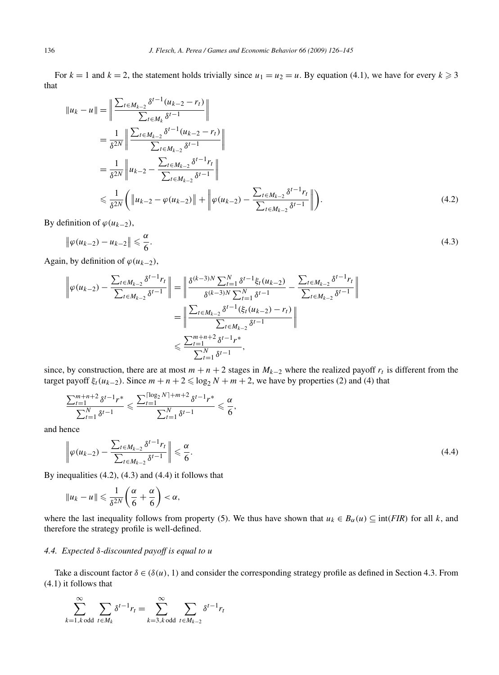For  $k = 1$  and  $k = 2$ , the statement holds trivially since  $u_1 = u_2 = u$ . By equation (4.1), we have for every  $k \ge 3$ that

$$
||u_{k} - u|| = \left\| \frac{\sum_{t \in M_{k-2}} \delta^{t-1} (u_{k-2} - r_{t})}{\sum_{t \in M_{k}} \delta^{t-1}} \right\|
$$
  
\n
$$
= \frac{1}{\delta^{2N}} \left\| \frac{\sum_{t \in M_{k-2}} \delta^{t-1} (u_{k-2} - r_{t})}{\sum_{t \in M_{k-2}} \delta^{t-1}} \right\|
$$
  
\n
$$
= \frac{1}{\delta^{2N}} \left\| u_{k-2} - \frac{\sum_{t \in M_{k-2}} \delta^{t-1} r_{t}}{\sum_{t \in M_{k-2}} \delta^{t-1}} \right\|
$$
  
\n
$$
\leq \frac{1}{\delta^{2N}} \left( \left\| u_{k-2} - \varphi(u_{k-2}) \right\| + \left\| \varphi(u_{k-2}) - \frac{\sum_{t \in M_{k-2}} \delta^{t-1} r_{t}}{\sum_{t \in M_{k-2}} \delta^{t-1}} \right\| \right).
$$
\n(4.2)

By definition of  $\varphi(u_{k-2})$ ,

$$
\|\varphi(u_{k-2}) - u_{k-2}\| \leq \frac{\alpha}{6}.\tag{4.3}
$$

Again, by definition of  $\varphi(u_{k-2})$ ,

$$
\begin{aligned}\n\left\|\varphi(u_{k-2}) - \frac{\sum_{t \in M_{k-2}} \delta^{t-1} r_t}{\sum_{t \in M_{k-2}} \delta^{t-1}}\right\| &= \left\|\frac{\delta^{(k-3)N} \sum_{t=1}^N \delta^{t-1} \xi_t(u_{k-2})}{\delta^{(k-3)N} \sum_{t=1}^N \delta^{t-1}} - \frac{\sum_{t \in M_{k-2}} \delta^{t-1} r_t}{\sum_{t \in M_{k-2}} \delta^{t-1}}\right\| \\
&= \left\|\frac{\sum_{t \in M_{k-2}} \delta^{t-1} (\xi_t(u_{k-2}) - r_t)}{\sum_{t \in M_{k-2}} \delta^{t-1}}\right\| \\
&\leq \frac{\sum_{t=1}^{m+n+2} \delta^{t-1} r^*}{\sum_{t=1}^N \delta^{t-1}},\n\end{aligned}
$$

since, by construction, there are at most  $m + n + 2$  stages in  $M_{k-2}$  where the realized payoff  $r<sub>t</sub>$  is different from the target payoff  $\xi_t(u_{k-2})$ . Since  $m + n + 2 \le \log_2 N + m + 2$ , we have by properties (2) and (4) that

$$
\frac{\sum_{t=1}^{m+n+2} \delta^{t-1} r^*}{\sum_{t=1}^N \delta^{t-1}} \leq \frac{\sum_{t=1}^{\lceil \log_2 N \rceil + m + 2} \delta^{t-1} r^*}{\sum_{t=1}^N \delta^{t-1}} \leq \frac{\alpha}{6},
$$

and hence

$$
\left\|\varphi(u_{k-2})-\frac{\sum_{t\in M_{k-2}}\delta^{t-1}r_t}{\sum_{t\in M_{k-2}}\delta^{t-1}}\right\|\leqslant \frac{\alpha}{6}.\tag{4.4}
$$

By inequalities (4.2), (4.3) and (4.4) it follows that

$$
||u_k - u|| \leq \frac{1}{\delta^{2N}} \left( \frac{\alpha}{6} + \frac{\alpha}{6} \right) < \alpha,
$$

where the last inequality follows from property (5). We thus have shown that  $u_k \in B_\alpha(u) \subseteq \text{int}(FIR)$  for all *k*, and therefore the strategy profile is well-defined.

#### *4.4. Expected δ-discounted payoff is equal to u*

Take a discount factor  $\delta \in (\delta(u), 1)$  and consider the corresponding strategy profile as defined in Section 4.3. From (4.1) it follows that

$$
\sum_{k=1,k \text{ odd}}^{\infty} \sum_{t \in M_k} \delta^{t-1} r_t = \sum_{k=3,k \text{ odd}}^{\infty} \sum_{t \in M_{k-2}} \delta^{t-1} r_t
$$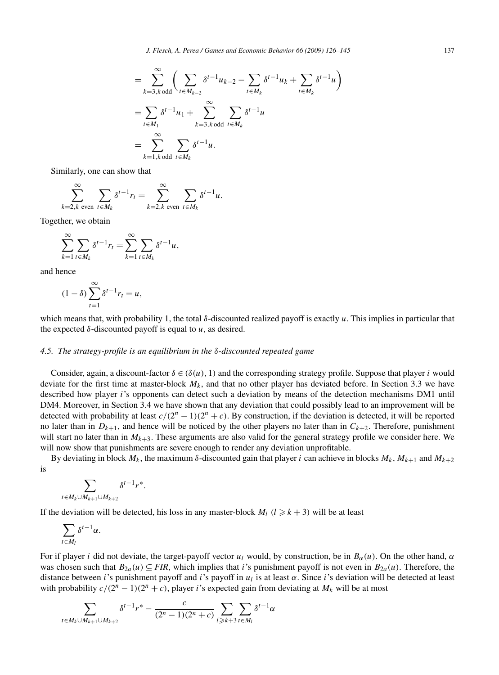$$
= \sum_{k=3,k \text{ odd}}^{\infty} \left( \sum_{t \in M_{k-2}} \delta^{t-1} u_{k-2} - \sum_{t \in M_k} \delta^{t-1} u_k + \sum_{t \in M_k} \delta^{t-1} u \right)
$$
  

$$
= \sum_{t \in M_1} \delta^{t-1} u_1 + \sum_{k=3,k \text{ odd}}^{\infty} \sum_{t \in M_k} \delta^{t-1} u
$$
  

$$
= \sum_{k=1,k \text{ odd}}^{\infty} \sum_{t \in M_k} \delta^{t-1} u.
$$

Similarly, one can show that

$$
\sum_{k=2,k \text{ even}}^{\infty} \sum_{t \in M_k} \delta^{t-1} r_t = \sum_{k=2,k \text{ even}}^{\infty} \sum_{t \in M_k} \delta^{t-1} u.
$$

Together, we obtain

$$
\sum_{k=1}^{\infty} \sum_{t \in M_k} \delta^{t-1} r_t = \sum_{k=1}^{\infty} \sum_{t \in M_k} \delta^{t-1} u,
$$

and hence

$$
(1 - \delta) \sum_{t=1}^{\infty} \delta^{t-1} r_t = u,
$$

which means that, with probability 1, the total *δ*-discounted realized payoff is exactly *u*. This implies in particular that the expected  $\delta$ -discounted payoff is equal to *u*, as desired.

#### *4.5. The strategy-profile is an equilibrium in the δ-discounted repeated game*

Consider, again, a discount-factor  $\delta \in (\delta(u), 1)$  and the corresponding strategy profile. Suppose that player *i* would deviate for the first time at master-block  $M_k$ , and that no other player has deviated before. In Section 3.3 we have described how player *i*'s opponents can detect such a deviation by means of the detection mechanisms DM1 until DM4. Moreover, in Section 3.4 we have shown that any deviation that could possibly lead to an improvement will be detected with probability at least  $c/(2^n - 1)(2^n + c)$ . By construction, if the deviation is detected, it will be reported no later than in  $D_{k+1}$ , and hence will be noticed by the other players no later than in  $C_{k+2}$ . Therefore, punishment will start no later than in  $M_{k+3}$ . These arguments are also valid for the general strategy profile we consider here. We will now show that punishments are severe enough to render any deviation unprofitable.

By deviating in block  $M_k$ , the maximum  $\delta$ -discounted gain that player *i* can achieve in blocks  $M_k$ ,  $M_{k+1}$  and  $M_{k+2}$ is

$$
\sum_{t \in M_k \cup M_{k+1} \cup M_{k+2}} \delta^{t-1} r^*.
$$

If the deviation will be detected, his loss in any master-block  $M_l$  ( $l \ge k + 3$ ) will be at least

$$
\sum_{t\in M_l}\delta^{t-1}\alpha.
$$

For if player *i* did not deviate, the target-payoff vector *ul* would, by construction, be in *Bα(u)*. On the other hand, *α* was chosen such that  $B_{2a}(u) \subseteq FIR$ , which implies that *i*'s punishment payoff is not even in  $B_{2a}(u)$ . Therefore, the distance between *i*'s punishment payoff and *i*'s payoff in *ul* is at least *α*. Since *i*'s deviation will be detected at least with probability  $c/(2^n - 1)(2^n + c)$ , player *i*'s expected gain from deviating at  $M_k$  will be at most

$$
\sum_{t \in M_k \cup M_{k+1} \cup M_{k+2}} \delta^{t-1} r^* - \frac{c}{(2^n - 1)(2^n + c)} \sum_{l \ge k+3} \sum_{t \in M_l} \delta^{t-1} \alpha
$$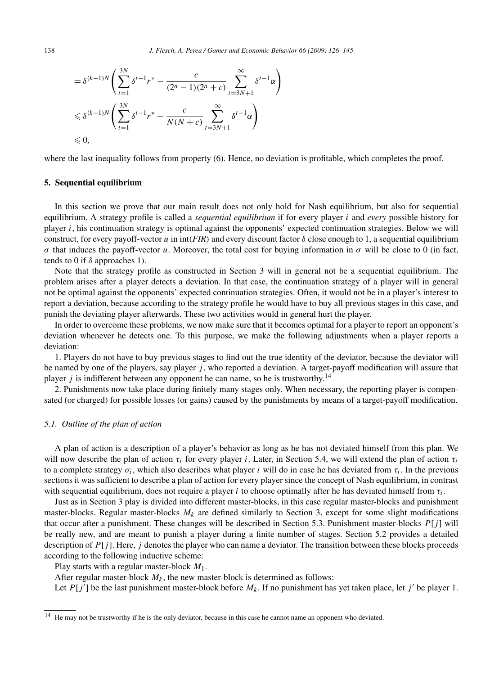$$
= \delta^{(k-1)N} \left( \sum_{t=1}^{3N} \delta^{t-1} r^* - \frac{c}{(2^n - 1)(2^n + c)} \sum_{t=3N+1}^{\infty} \delta^{t-1} \alpha \right)
$$
  
\$\leq \delta^{(k-1)N} \left( \sum\_{t=1}^{3N} \delta^{t-1} r^\* - \frac{c}{N(N + c)} \sum\_{t=3N+1}^{\infty} \delta^{t-1} \alpha \right)\$  
\$\leq 0.

where the last inequality follows from property (6). Hence, no deviation is profitable, which completes the proof.

# **5. Sequential equilibrium**

In this section we prove that our main result does not only hold for Nash equilibrium, but also for sequential equilibrium. A strategy profile is called a *sequential equilibrium* if for every player *i* and *every* possible history for player *i*, his continuation strategy is optimal against the opponents' expected continuation strategies. Below we will construct, for every payoff-vector  $u$  in int(*FIR*) and every discount factor  $\delta$  close enough to 1, a sequential equilibrium *σ* that induces the payoff-vector *u*. Moreover, the total cost for buying information in *σ* will be close to 0 (in fact, tends to 0 if *δ* approaches 1).

Note that the strategy profile as constructed in Section 3 will in general not be a sequential equilibrium. The problem arises after a player detects a deviation. In that case, the continuation strategy of a player will in general not be optimal against the opponents' expected continuation strategies. Often, it would not be in a player's interest to report a deviation, because according to the strategy profile he would have to buy all previous stages in this case, and punish the deviating player afterwards. These two activities would in general hurt the player.

In order to overcome these problems, we now make sure that it becomes optimal for a player to report an opponent's deviation whenever he detects one. To this purpose, we make the following adjustments when a player reports a deviation:

1. Players do not have to buy previous stages to find out the true identity of the deviator, because the deviator will be named by one of the players, say player *j* , who reported a deviation. A target-payoff modification will assure that player *j* is indifferent between any opponent he can name, so he is trustworthy.<sup>14</sup>

2. Punishments now take place during finitely many stages only. When necessary, the reporting player is compensated (or charged) for possible losses (or gains) caused by the punishments by means of a target-payoff modification.

# *5.1. Outline of the plan of action*

A plan of action is a description of a player's behavior as long as he has not deviated himself from this plan. We will now describe the plan of action  $\tau_i$  for every player *i*. Later, in Section 5.4, we will extend the plan of action  $\tau_i$ to a complete strategy  $\sigma_i$ , which also describes what player *i* will do in case he has deviated from  $\tau_i$ . In the previous sections it was sufficient to describe a plan of action for every player since the concept of Nash equilibrium, in contrast with sequential equilibrium, does not require a player *i* to choose optimally after he has deviated himself from *τi*.

Just as in Section 3 play is divided into different master-blocks, in this case regular master-blocks and punishment master-blocks. Regular master-blocks  $M_k$  are defined similarly to Section 3, except for some slight modifications that occur after a punishment. These changes will be described in Section 5.3. Punishment master-blocks *P*[*j* ] will be really new, and are meant to punish a player during a finite number of stages. Section 5.2 provides a detailed description of *P*[*j* ]. Here, *j* denotes the player who can name a deviator. The transition between these blocks proceeds according to the following inductive scheme:

Play starts with a regular master-block *M*1.

After regular master-block  $M_k$ , the new master-block is determined as follows:

Let  $P[j']$  be the last punishment master-block before  $M_k$ . If no punishment has yet taken place, let *j'* be player 1.

<sup>&</sup>lt;sup>14</sup> He may not be trustworthy if he is the only deviator, because in this case he cannot name an opponent who deviated.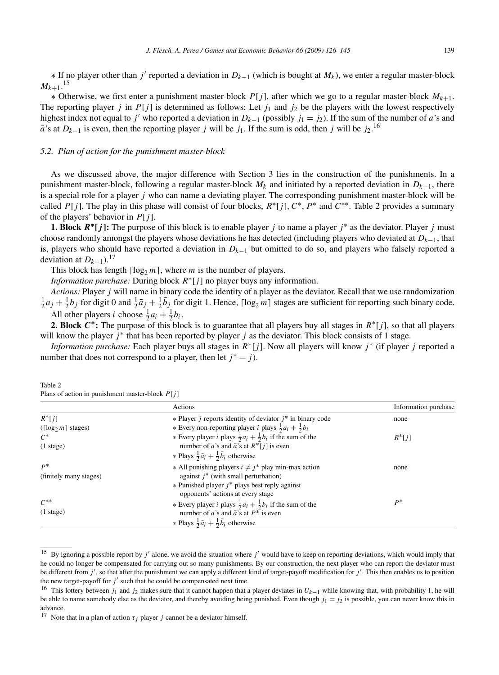∗ If no player other than *j* reported a deviation in *Dk*<sup>−</sup><sup>1</sup> (which is bought at *Mk* ), we enter a regular master-block  $M_{k+1}.^{15}$ 

∗ Otherwise, we first enter a punishment master-block *P*[*j* ], after which we go to a regular master-block *Mk*+1. The reporting player *j* in  $P[j]$  is determined as follows: Let  $j_1$  and  $j_2$  be the players with the lowest respectively highest index not equal to *j'* who reported a deviation in  $D_{k-1}$  (possibly  $j_1 = j_2$ ). If the sum of the number of *a*'s and  $\bar{a}$ 's at *D<sub>k−1</sub>* is even, then the reporting player *j* will be *j*<sub>1</sub>. If the sum is odd, then *j* will be *j*<sub>2</sub>.<sup>16</sup>

#### *5.2. Plan of action for the punishment master-block*

As we discussed above, the major difference with Section 3 lies in the construction of the punishments. In a punishment master-block, following a regular master-block *Mk* and initiated by a reported deviation in *Dk*−1, there is a special role for a player *j* who can name a deviating player. The corresponding punishment master-block will be called *P*[ $j$ ]. The play in this phase will consist of four blocks,  $R^*[j]$ ,  $C^*$ ,  $P^*$  and  $C^{**}$ . Table 2 provides a summary of the players' behavior in *P*[*j* ].

**1. Block**  $R^*$ [*j*]: The purpose of this block is to enable player *j* to name a player *j* \* as the deviator. Player *j* must choose randomly amongst the players whose deviations he has detected (including players who deviated at *Dk*−1, that is, players who should have reported a deviation in *Dk*<sup>−</sup><sup>1</sup> but omitted to do so, and players who falsely reported a deviation at  $D_{k-1}$ ).<sup>17</sup>

This block has length  $\lceil \log_2 m \rceil$ , where *m* is the number of players.

*Information purchase:* During block  $R<sup>∗</sup>[j]$  no player buys any information.

*Actions:* Player *j* will name in binary code the identity of a player as the deviator. Recall that we use randomization  $\frac{1}{2}a_j + \frac{1}{2}b_j$  for digit 0 and  $\frac{1}{2}\bar{a}_j + \frac{1}{2}\bar{b}_j$  for digit 1. Hence,  $\lceil \log_2 m \rceil$  stages are sufficient for reporting such binary code. All other players *i* choose  $\frac{1}{2}a_i + \frac{1}{2}b_i$ .

**2. Block**  $C^*$ : The purpose of this block is to guarantee that all players buy all stages in  $R^*[j]$ , so that all players will know the player *j*<sup>\*</sup> that has been reported by player *j* as the deviator. This block consists of 1 stage.

*Information purchase:* Each player buys all stages in *R*∗[*j* ]. Now all players will know *j* <sup>∗</sup> (if player *j* reported a number that does not correspond to a player, then let  $j^* = j$ .

| Table 2                                           |  |
|---------------------------------------------------|--|
| Plans of action in punishment master-block $P[i]$ |  |

|                                   | Actions                                                                           | Information purchase |
|-----------------------------------|-----------------------------------------------------------------------------------|----------------------|
| $R^*[j]$                          | * Player $j$ reports identity of deviator $j^*$ in binary code                    | none                 |
| $(\lceil \log_2 m \rceil$ stages) | * Every non-reporting player <i>i</i> plays $\frac{1}{2}a_i + \frac{1}{2}b_i$     |                      |
| $C^*$                             | * Every player <i>i</i> plays $\frac{1}{2}a_i + \frac{1}{2}b_i$ if the sum of the | $R^*[j]$             |
| $(1)$ stage)                      | number of a's and $\bar{a}$ 's at $R^*$ [ i] is even                              |                      |
|                                   | * Plays $\frac{1}{2}\bar{a}_i + \frac{1}{2}\bar{b}_i$ otherwise                   |                      |
| $P^*$                             | * All punishing players $i \neq j^*$ play min-max action                          | none                 |
| (finitely many stages)            | against $i^*$ (with small perturbation)                                           |                      |
|                                   | * Punished player $i^*$ plays best reply against                                  |                      |
|                                   | opponents' actions at every stage                                                 |                      |
| $C^{**}$                          | * Every player <i>i</i> plays $\frac{1}{2}a_i + \frac{1}{2}b_i$ if the sum of the | $P^*$                |
| $(1)$ stage)                      | number of a's and $\bar{a}$ 's at $P^*$ is even                                   |                      |
|                                   | * Plays $\frac{1}{2}\bar{a}_i + \frac{1}{2}\bar{b}_i$ otherwise                   |                      |

<sup>&</sup>lt;sup>15</sup> By ignoring a possible report by *j'* alone, we avoid the situation where *j'* would have to keep on reporting deviations, which would imply that he could no longer be compensated for carrying out so many punishments. By our construction, the next player who can report the deviator must be different from *j'*, so that after the punishment we can apply a different kind of target-payoff modification for *j'*. This then enables us to position the new target-payoff for  $j'$  such that he could be compensated next time.

<sup>16</sup> This lottery between *j*<sup>1</sup> and *j*<sup>2</sup> makes sure that it cannot happen that a player deviates in *Uk*−<sup>1</sup> while knowing that, with probability 1, he will be able to name somebody else as the deviator, and thereby avoiding being punished. Even though  $j_1 = j_2$  is possible, you can never know this in advance.

<sup>&</sup>lt;sup>17</sup> Note that in a plan of action  $\tau_j$  player *j* cannot be a deviator himself.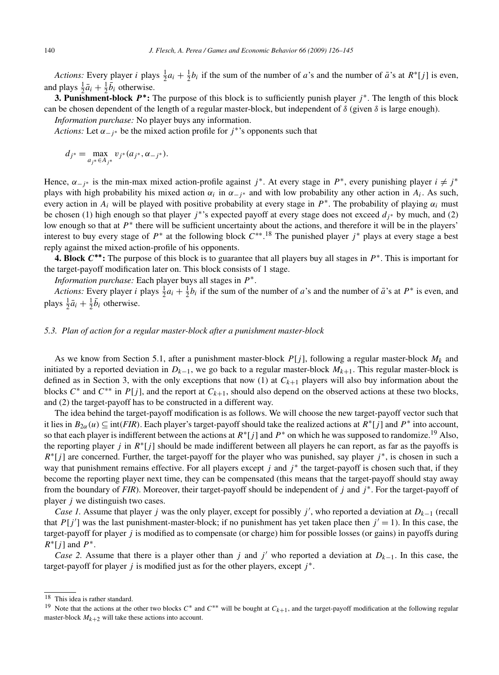*Actions:* Every player *i* plays  $\frac{1}{2}a_i + \frac{1}{2}b_i$  if the sum of the number of *a*'s and the number of *a*'s at *R*<sup>\*</sup>[*j*] is even, and plays  $\frac{1}{2}\bar{a}_i + \frac{1}{2}\bar{b}_i$  otherwise.

**3. Punishment-block**  $P^*$ : The purpose of this block is to sufficiently punish player *j*<sup>∗</sup>. The length of this block can be chosen dependent of the length of a regular master-block, but independent of  $\delta$  (given  $\delta$  is large enough).

*Information purchase:* No player buys any information.

*Actions:* Let  $\alpha_{-i^*}$  be the mixed action profile for *j*<sup>\*</sup>'s opponents such that

$$
d_{j^*} = \max_{a_{j^*} \in A_{j^*}} v_{j^*}(a_{j^*}, \alpha_{-j^*}).
$$

Hence,  $\alpha_{-j^*}$  is the min-max mixed action-profile against *j*<sup>\*</sup>. At every stage in *P*<sup>\*</sup>, every punishing player  $i \neq j^*$ plays with high probability his mixed action  $\alpha_i$  in  $\alpha_{-i^*}$  and with low probability any other action in  $A_i$ . As such, every action in  $A_i$  will be played with positive probability at every stage in  $P^*$ . The probability of playing  $\alpha_i$  must be chosen (1) high enough so that player *j* <sup>∗</sup>'s expected payoff at every stage does not exceed *dj* <sup>∗</sup> by much, and (2) low enough so that at *P*<sup>∗</sup> there will be sufficient uncertainty about the actions, and therefore it will be in the players' interest to buy every stage of  $P^*$  at the following block  $C^{**}$ .<sup>18</sup> The punished player  $j^*$  plays at every stage a best reply against the mixed action-profile of his opponents.

**4. Block** *C***∗∗:** The purpose of this block is to guarantee that all players buy all stages in *P*∗. This is important for the target-payoff modification later on. This block consists of 1 stage.

*Information purchase:* Each player buys all stages in *P*∗.

*Actions:* Every player *i* plays  $\frac{1}{2}a_i + \frac{1}{2}b_i$  if the sum of the number of *a*'s and the number of *a*'s at *P*<sup>\*</sup> is even, and plays  $\frac{1}{2}\bar{a}_i + \frac{1}{2}\bar{b}_i$  otherwise.

# *5.3. Plan of action for a regular master-block after a punishment master-block*

As we know from Section 5.1, after a punishment master-block  $P[j]$ , following a regular master-block  $M_k$  and initiated by a reported deviation in *Dk*−1, we go back to a regular master-block *Mk*+1. This regular master-block is defined as in Section 3, with the only exceptions that now  $(1)$  at  $C_{k+1}$  players will also buy information about the blocks  $C^*$  and  $C^{**}$  in *P*[*j*], and the report at  $C_{k+1}$ , should also depend on the observed actions at these two blocks, and (2) the target-payoff has to be constructed in a different way.

The idea behind the target-payoff modification is as follows. We will choose the new target-payoff vector such that it lies in  $B_{2\alpha}(u) \subseteq \text{int}(FIR)$ . Each player's target-payoff should take the realized actions at  $R^*[j]$  and  $P^*$  into account, so that each player is indifferent between the actions at  $R^*[j]$  and  $P^*$  on which he was supposed to randomize.<sup>19</sup> Also, the reporting player *j* in  $R^*[j]$  should be made indifferent between all players he can report, as far as the payoffs is *R*∗[*j* ] are concerned. Further, the target-payoff for the player who was punished, say player *j* <sup>∗</sup>, is chosen in such a way that punishment remains effective. For all players except *j* and *j*<sup>\*</sup> the target-payoff is chosen such that, if they become the reporting player next time, they can be compensated (this means that the target-payoff should stay away from the boundary of *FIR*). Moreover, their target-payoff should be independent of *j* and *j* <sup>∗</sup>. For the target-payoff of player *j* we distinguish two cases.

*Case 1.* Assume that player *j* was the only player, except for possibly *j'*, who reported a deviation at  $D_{k-1}$  (recall that  $P[j']$  was the last punishment-master-block; if no punishment has yet taken place then  $j' = 1$ ). In this case, the target-payoff for player *j* is modified as to compensate (or charge) him for possible losses (or gains) in payoffs during  $R^*[j]$  and  $P^*$ .

*Case 2.* Assume that there is a player other than *j* and *j* who reported a deviation at *Dk*−1. In this case, the target-payoff for player *j* is modified just as for the other players, except *j* <sup>∗</sup>.

<sup>18</sup> This idea is rather standard.

<sup>&</sup>lt;sup>19</sup> Note that the actions at the other two blocks *C*<sup>∗</sup> and *C*<sup>∗∗</sup> will be bought at *C*<sub>*k*+1</sub>, and the target-payoff modification at the following regular master-block  $M_{k+2}$  will take these actions into account.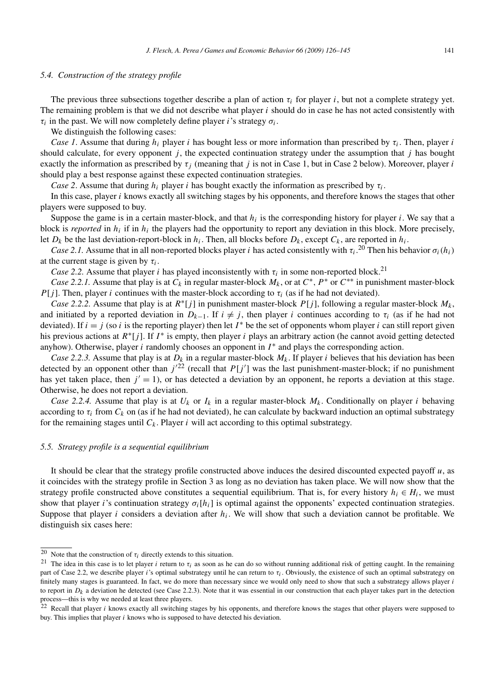#### *5.4. Construction of the strategy profile*

The previous three subsections together describe a plan of action *τi* for player *i*, but not a complete strategy yet. The remaining problem is that we did not describe what player *i* should do in case he has not acted consistently with *τi* in the past. We will now completely define player *i*'s strategy *σi*.

We distinguish the following cases:

*Case 1.* Assume that during  $h_i$  player *i* has bought less or more information than prescribed by  $\tau_i$ . Then, player *i* should calculate, for every opponent *j* , the expected continuation strategy under the assumption that *j* has bought exactly the information as prescribed by *τj* (meaning that *j* is not in Case 1, but in Case 2 below). Moreover, player *i* should play a best response against these expected continuation strategies.

*Case 2*. Assume that during *hi* player *i* has bought exactly the information as prescribed by *τi*.

In this case, player *i* knows exactly all switching stages by his opponents, and therefore knows the stages that other players were supposed to buy.

Suppose the game is in a certain master-block, and that  $h_i$  is the corresponding history for player *i*. We say that a block is *reported* in  $h_i$  if in  $h_i$  the players had the opportunity to report any deviation in this block. More precisely, let  $D_k$  be the last deviation-report-block in  $h_i$ . Then, all blocks before  $D_k$ , except  $C_k$ , are reported in  $h_i$ .

*Case 2.1.* Assume that in all non-reported blocks player *i* has acted consistently with  $\tau_i$ .<sup>20</sup> Then his behavior  $\sigma_i(h_i)$ at the current stage is given by  $\tau_i$ .

*Case 2.2.* Assume that player *i* has played inconsistently with  $\tau_i$  in some non-reported block.<sup>21</sup>

*Case 2.2.1.* Assume that play is at  $C_k$  in regular master-block  $M_k$ , or at  $C^*$ ,  $P^*$  or  $C^{**}$  in punishment master-block *P*[ $j$ ]. Then, player *i* continues with the master-block according to  $\tau_i$  (as if he had not deviated).

*Case 2.2.2.* Assume that play is at  $R^*$ [*j*] in punishment master-block *P*[*j*], following a regular master-block  $M_k$ , and initiated by a reported deviation in  $D_{k-1}$ . If  $i \neq j$ , then player *i* continues according to  $\tau_i$  (as if he had not deviated). If  $i = j$  (so *i* is the reporting player) then let  $I^*$  be the set of opponents whom player *i* can still report given his previous actions at  $R^*[j]$ . If  $I^*$  is empty, then player *i* plays an arbitrary action (he cannot avoid getting detected anyhow). Otherwise, player *i* randomly chooses an opponent in  $I^*$  and plays the corresponding action.

*Case 2.2.3.* Assume that play is at  $D_k$  in a regular master-block  $M_k$ . If player *i* believes that his deviation has been detected by an opponent other than  $j'^{22}$  (recall that  $P[j']$  was the last punishment-master-block; if no punishment has yet taken place, then  $j' = 1$ ), or has detected a deviation by an opponent, he reports a deviation at this stage. Otherwise, he does not report a deviation.

*Case 2.2.4.* Assume that play is at  $U_k$  or  $I_k$  in a regular master-block  $M_k$ . Conditionally on player *i* behaving according to  $\tau_i$  from  $C_k$  on (as if he had not deviated), he can calculate by backward induction an optimal substrategy for the remaining stages until  $C_k$ . Player *i* will act according to this optimal substrategy.

#### *5.5. Strategy profile is a sequential equilibrium*

It should be clear that the strategy profile constructed above induces the desired discounted expected payoff *u*, as it coincides with the strategy profile in Section 3 as long as no deviation has taken place. We will now show that the strategy profile constructed above constitutes a sequential equilibrium. That is, for every history  $h_i \in H_i$ , we must show that player *i*'s continuation strategy  $\sigma_i[h_i]$  is optimal against the opponents' expected continuation strategies. Suppose that player *i* considers a deviation after  $h_i$ . We will show that such a deviation cannot be profitable. We distinguish six cases here:

<sup>&</sup>lt;sup>20</sup> Note that the construction of  $\tau_i$  directly extends to this situation.

<sup>&</sup>lt;sup>21</sup> The idea in this case is to let player *i* return to  $\tau_i$  as soon as he can do so without running additional risk of getting caught. In the remaining part of Case 2.2, we describe player *i*'s optimal substrategy until he can return to *τi*. Obviously, the existence of such an optimal substrategy on finitely many stages is guaranteed. In fact, we do more than necessary since we would only need to show that such a substrategy allows player *i* to report in  $D_k$  a deviation he detected (see Case 2.2.3). Note that it was essential in our construction that each player takes part in the detection process—this is why we needed at least three players.

<sup>&</sup>lt;sup>22</sup> Recall that player *i* knows exactly all switching stages by his opponents, and therefore knows the stages that other players were supposed to buy. This implies that player *i* knows who is supposed to have detected his deviation.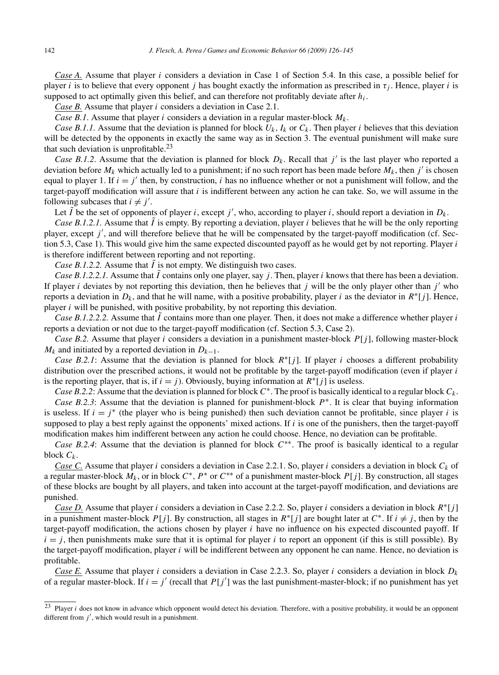*Case A.* Assume that player *i* considers a deviation in Case 1 of Section 5.4. In this case, a possible belief for player *i* is to believe that every opponent *j* has bought exactly the information as prescribed in *τj* . Hence, player *i* is supposed to act optimally given this belief, and can therefore not profitably deviate after  $h_i$ .

*Case B.* Assume that player *i* considers a deviation in Case 2.1.

*Case B.1*. Assume that player *i* considers a deviation in a regular master-block  $M_k$ .

*Case B.1.1.* Assume that the deviation is planned for block  $U_k$ ,  $I_k$  or  $C_k$ . Then player *i* believes that this deviation will be detected by the opponents in exactly the same way as in Section 3. The eventual punishment will make sure that such deviation is unprofitable. $23$ 

*Case B.1.2.* Assume that the deviation is planned for block  $D_k$ . Recall that *j'* is the last player who reported a deviation before  $M_k$  which actually led to a punishment; if no such report has been made before  $M_k$ , then  $j'$  is chosen equal to player 1. If  $i = j'$  then, by construction, *i* has no influence whether or not a punishment will follow, and the target-payoff modification will assure that *i* is indifferent between any action he can take. So, we will assume in the following subcases that  $i \neq j'$ .

Let  $\tilde{I}$  be the set of opponents of player *i*, except *j'*, who, according to player *i*, should report a deviation in  $D_k$ .

*Case B.1.2.1.* Assume that  $\tilde{I}$  is empty. By reporting a deviation, player *i* believes that he will be the only reporting player, except *j'*, and will therefore believe that he will be compensated by the target-payoff modification (cf. Section 5.3, Case 1). This would give him the same expected discounted payoff as he would get by not reporting. Player *i* is therefore indifferent between reporting and not reporting.

*Case B.1.2.2.* Assume that  $\tilde{I}$  is not empty. We distinguish two cases.

*Case B.1.2.2.1.* Assume that  $\tilde{I}$  contains only one player, say  $\tilde{I}$ . Then, player  $\tilde{I}$  knows that there has been a deviation. If player *i* deviates by not reporting this deviation, then he believes that *j* will be the only player other than *j* who reports a deviation in  $D_k$ , and that he will name, with a positive probability, player *i* as the deviator in  $R^*$ [*j*]. Hence, player *i* will be punished, with positive probability, by not reporting this deviation.

*Case B.1.2.2.2.* Assume that  $\tilde{I}$  contains more than one player. Then, it does not make a difference whether player  $i$ reports a deviation or not due to the target-payoff modification (cf. Section 5.3, Case 2).

*Case B.2.* Assume that player *i* considers a deviation in a punishment master-block *P*[*j* ], following master-block *M<sub>k</sub>* and initiated by a reported deviation in  $D_{k-1}$ .

*Case B.2.1*: Assume that the deviation is planned for block *R*∗[*j* ]. If player *i* chooses a different probability distribution over the prescribed actions, it would not be profitable by the target-payoff modification (even if player *i* is the reporting player, that is, if  $i = j$ ). Obviously, buying information at  $R^*$ [*j* ] is useless.

*Case B.2.2*: Assume that the deviation is planned for block  $C^*$ . The proof is basically identical to a regular block  $C_k$ .

*Case B.2.3*: Assume that the deviation is planned for punishment-block *P*∗. It is clear that buying information is useless. If  $i = j^*$  (the player who is being punished) then such deviation cannot be profitable, since player *i* is supposed to play a best reply against the opponents' mixed actions. If  $i$  is one of the punishers, then the target-payoff modification makes him indifferent between any action he could choose. Hence, no deviation can be profitable.

*Case B.2.4*: Assume that the deviation is planned for block *C*∗∗. The proof is basically identical to a regular block  $C_k$ .

*Case C.* Assume that player *i* considers a deviation in Case 2.2.1. So, player *i* considers a deviation in block *Ck* of a regular master-block *Mk* , or in block *C*∗*, P*<sup>∗</sup> or *C*∗∗ of a punishment master-block *P*[*j* ]. By construction, all stages of these blocks are bought by all players, and taken into account at the target-payoff modification, and deviations are punished.

*Case D.* Assume that player *i* considers a deviation in Case 2.2.2. So, player *i* considers a deviation in block *R*∗[*j* ] in a punishment master-block  $P[j]$ . By construction, all stages in  $R^*[j]$  are bought later at  $C^*$ . If  $i \neq j$ , then by the target-payoff modification, the actions chosen by player *i* have no influence on his expected discounted payoff. If  $i = j$ , then punishments make sure that it is optimal for player *i* to report an opponent (if this is still possible). By the target-payoff modification, player *i* will be indifferent between any opponent he can name. Hence, no deviation is profitable.

*Case E.* Assume that player *i* considers a deviation in Case 2.2.3. So, player *i* considers a deviation in block *Dk* of a regular master-block. If  $i = j'$  (recall that  $P[j']$  was the last punishment-master-block; if no punishment has yet

<sup>&</sup>lt;sup>23</sup> Player *i* does not know in advance which opponent would detect his deviation. Therefore, with a positive probability, it would be an opponent different from  $j'$ , which would result in a punishment.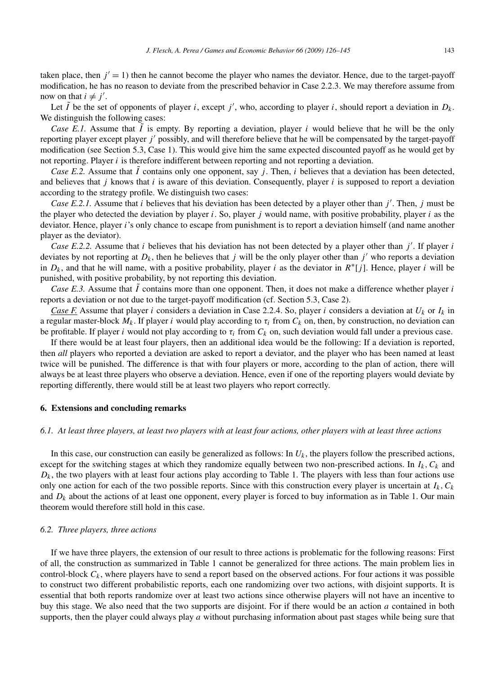taken place, then  $j' = 1$ ) then he cannot become the player who names the deviator. Hence, due to the target-payoff modification, he has no reason to deviate from the prescribed behavior in Case 2.2.3. We may therefore assume from now on that  $i \neq j'$ .

Let  $\tilde{I}$  be the set of opponents of player *i*, except *j'*, who, according to player *i*, should report a deviation in  $D_k$ . We distinguish the following cases:

*Case E.1.* Assume that  $\tilde{I}$  is empty. By reporting a deviation, player *i* would believe that he will be the only reporting player except player *j* possibly, and will therefore believe that he will be compensated by the target-payoff modification (see Section 5.3, Case 1). This would give him the same expected discounted payoff as he would get by not reporting. Player *i* is therefore indifferent between reporting and not reporting a deviation.

*Case E.2.* Assume that  $\tilde{I}$  contains only one opponent, say  $j$ . Then,  $i$  believes that a deviation has been detected, and believes that *j* knows that *i* is aware of this deviation. Consequently, player *i* is supposed to report a deviation according to the strategy profile. We distinguish two cases:

*Case E.2.1.* Assume that *i* believes that his deviation has been detected by a player other than  $j'$ . Then,  $j$  must be the player who detected the deviation by player *i*. So, player *j* would name, with positive probability, player *i* as the deviator. Hence, player *i*'s only chance to escape from punishment is to report a deviation himself (and name another player as the deviator).

*Case E.2.2.* Assume that *i* believes that his deviation has not been detected by a player other than *j'*. If player *i* deviates by not reporting at  $D_k$ , then he believes that *j* will be the only player other than *j'* who reports a deviation in  $D_k$ , and that he will name, with a positive probability, player *i* as the deviator in  $R^*$ [*j*]. Hence, player *i* will be punished, with positive probability, by not reporting this deviation.

*Case E.3.* Assume that  $\hat{I}$  contains more than one opponent. Then, it does not make a difference whether player  $\hat{i}$ reports a deviation or not due to the target-payoff modification (cf. Section 5.3, Case 2).

*Case F.* Assume that player *i* considers a deviation in Case 2.2.4. So, player *i* considers a deviation at *Uk* or *Ik* in a regular master-block  $M_k$ . If player *i* would play according to  $\tau_i$  from  $C_k$  on, then, by construction, no deviation can be profitable. If player *i* would not play according to  $\tau_i$  from  $C_k$  on, such deviation would fall under a previous case.

If there would be at least four players, then an additional idea would be the following: If a deviation is reported, then *all* players who reported a deviation are asked to report a deviator, and the player who has been named at least twice will be punished. The difference is that with four players or more, according to the plan of action, there will always be at least three players who observe a deviation. Hence, even if one of the reporting players would deviate by reporting differently, there would still be at least two players who report correctly.

#### **6. Extensions and concluding remarks**

# *6.1. At least three players, at least two players with at least four actions, other players with at least three actions*

In this case, our construction can easily be generalized as follows: In  $U_k$ , the players follow the prescribed actions, except for the switching stages at which they randomize equally between two non-prescribed actions. In  $I_k$ ,  $C_k$  and  $D_k$ , the two players with at least four actions play according to Table 1. The players with less than four actions use only one action for each of the two possible reports. Since with this construction every player is uncertain at  $I_k$ ,  $C_k$ and  $D_k$  about the actions of at least one opponent, every player is forced to buy information as in Table 1. Our main theorem would therefore still hold in this case.

#### *6.2. Three players, three actions*

If we have three players, the extension of our result to three actions is problematic for the following reasons: First of all, the construction as summarized in Table 1 cannot be generalized for three actions. The main problem lies in control-block  $C_k$ , where players have to send a report based on the observed actions. For four actions it was possible to construct two different probabilistic reports, each one randomizing over two actions, with disjoint supports. It is essential that both reports randomize over at least two actions since otherwise players will not have an incentive to buy this stage. We also need that the two supports are disjoint. For if there would be an action *a* contained in both supports, then the player could always play *a* without purchasing information about past stages while being sure that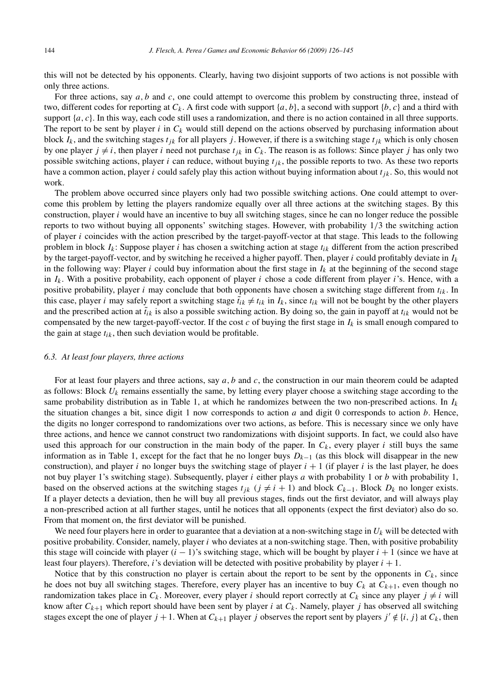this will not be detected by his opponents. Clearly, having two disjoint supports of two actions is not possible with only three actions.

For three actions, say *a*, *b* and *c*, one could attempt to overcome this problem by constructing three, instead of two, different codes for reporting at  $C_k$ . A first code with support  $\{a, b\}$ , a second with support  $\{b, c\}$  and a third with support  $\{a, c\}$ . In this way, each code still uses a randomization, and there is no action contained in all three supports. The report to be sent by player  $i$  in  $C_k$  would still depend on the actions observed by purchasing information about block  $I_k$ , and the switching stages  $t_{ik}$  for all players *j*. However, if there is a switching stage  $t_{ik}$  which is only chosen by one player  $j \neq i$ , then player *i* need not purchase  $t_{jk}$  in  $C_k$ . The reason is as follows: Since player *j* has only two possible switching actions, player *i* can reduce, without buying *tjk* , the possible reports to two. As these two reports have a common action, player *i* could safely play this action without buying information about *tjk* . So, this would not work.

The problem above occurred since players only had two possible switching actions. One could attempt to overcome this problem by letting the players randomize equally over all three actions at the switching stages. By this construction, player *i* would have an incentive to buy all switching stages, since he can no longer reduce the possible reports to two without buying all opponents' switching stages. However, with probability 1*/*3 the switching action of player *i* coincides with the action prescribed by the target-payoff-vector at that stage. This leads to the following problem in block  $I_k$ : Suppose player *i* has chosen a switching action at stage  $t_{ik}$  different from the action prescribed by the target-payoff-vector, and by switching he received a higher payoff. Then, player *i* could profitably deviate in *Ik* in the following way: Player *i* could buy information about the first stage in  $I_k$  at the beginning of the second stage in *Ik* . With a positive probability, each opponent of player *i* chose a code different from player *i*'s. Hence, with a positive probability, player *i* may conclude that both opponents have chosen a switching stage different from *tik* . In this case, player *i* may safely report a switching stage  $\tilde{t}_{ik} \neq t_{ik}$  in  $I_k$ , since  $t_{ik}$  will not be bought by the other players and the prescribed action at  $\tilde{t}_{ik}$  is also a possible switching action. By doing so, the gain in payoff at  $t_{ik}$  would not be compensated by the new target-payoff-vector. If the cost  $c$  of buying the first stage in  $I_k$  is small enough compared to the gain at stage  $t_{ik}$ , then such deviation would be profitable.

#### *6.3. At least four players, three actions*

For at least four players and three actions, say *a,b* and *c*, the construction in our main theorem could be adapted as follows: Block *Uk* remains essentially the same, by letting every player choose a switching stage according to the same probability distribution as in Table 1, at which he randomizes between the two non-prescribed actions. In  $I_k$ the situation changes a bit, since digit 1 now corresponds to action *a* and digit 0 corresponds to action *b*. Hence, the digits no longer correspond to randomizations over two actions, as before. This is necessary since we only have three actions, and hence we cannot construct two randomizations with disjoint supports. In fact, we could also have used this approach for our construction in the main body of the paper. In  $C_k$ , every player *i* still buys the same information as in Table 1, except for the fact that he no longer buys *Dk*<sup>−</sup><sup>1</sup> (as this block will disappear in the new construction), and player *i* no longer buys the switching stage of player  $i + 1$  (if player *i* is the last player, he does not buy player 1's switching stage). Subsequently, player *i* either plays *a* with probability 1 or *b* with probability 1, based on the observed actions at the switching stages  $t_{jk}$  ( $j \neq i + 1$ ) and block  $C_{k-1}$ . Block  $D_k$  no longer exists. If a player detects a deviation, then he will buy all previous stages, finds out the first deviator, and will always play a non-prescribed action at all further stages, until he notices that all opponents (expect the first deviator) also do so. From that moment on, the first deviator will be punished.

We need four players here in order to guarantee that a deviation at a non-switching stage in *Uk* will be detected with positive probability. Consider, namely, player *i* who deviates at a non-switching stage. Then, with positive probability this stage will coincide with player  $(i - 1)$ 's switching stage, which will be bought by player  $i + 1$  (since we have at least four players). Therefore, *i*'s deviation will be detected with positive probability by player *i* + 1.

Notice that by this construction no player is certain about the report to be sent by the opponents in  $C_k$ , since he does not buy all switching stages. Therefore, every player has an incentive to buy  $C_k$  at  $C_{k+1}$ , even though no randomization takes place in  $C_k$ . Moreover, every player *i* should report correctly at  $C_k$  since any player  $j \neq i$  will know after  $C_{k+1}$  which report should have been sent by player *i* at  $C_k$ . Namely, player *j* has observed all switching stages except the one of player  $j + 1$ . When at  $C_{k+1}$  player  $j$  observes the report sent by players  $j' \notin \{i, j\}$  at  $C_k$ , then